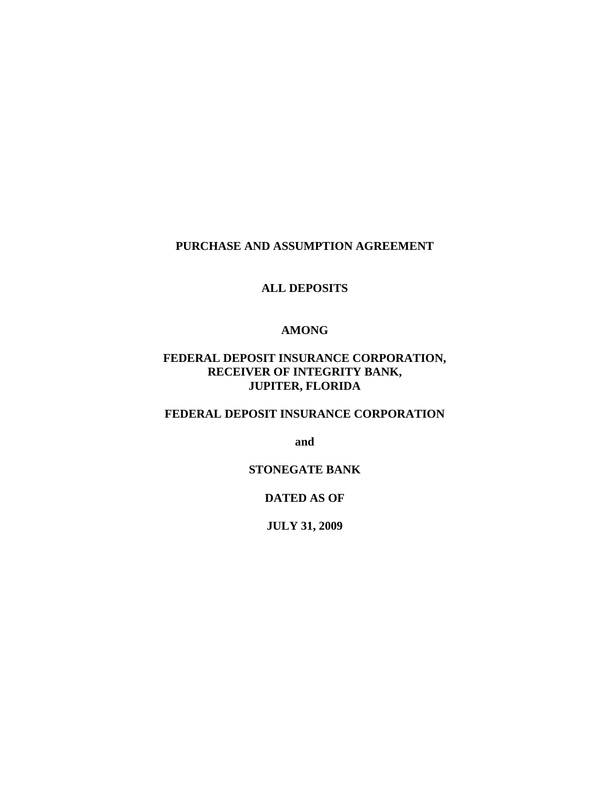#### **PURCHASE AND ASSUMPTION AGREEMENT**

#### **ALL DEPOSITS**

### **AMONG**

### **FEDERAL DEPOSIT INSURANCE CORPORATION, RECEIVER OF INTEGRITY BANK, JUPITER, FLORIDA**

### **FEDERAL DEPOSIT INSURANCE CORPORATION**

**and** 

#### **STONEGATE BANK**

#### **DATED AS OF**

**JULY 31, 2009**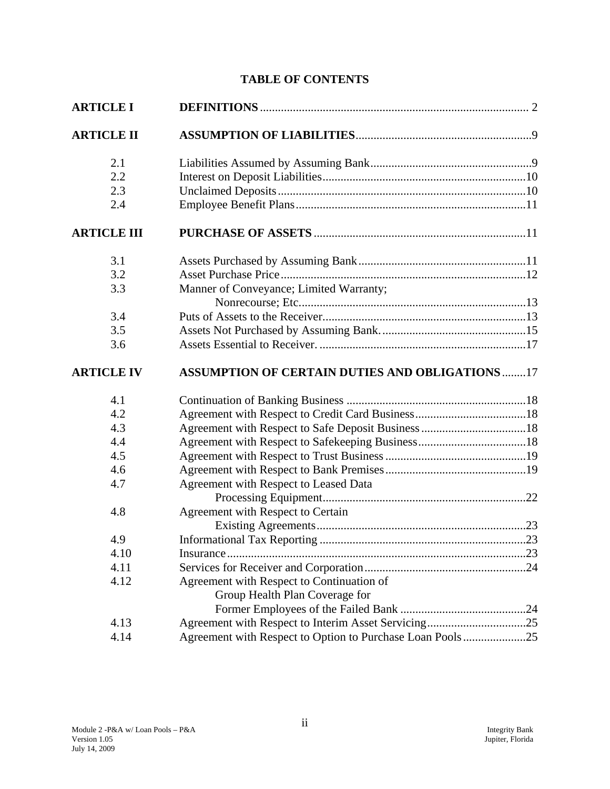# **TABLE OF CONTENTS**

| <b>ARTICLE I</b>   |                                                           |  |
|--------------------|-----------------------------------------------------------|--|
| <b>ARTICLE II</b>  |                                                           |  |
| 2.1                |                                                           |  |
| 2.2                |                                                           |  |
| 2.3                |                                                           |  |
| 2.4                |                                                           |  |
| <b>ARTICLE III</b> |                                                           |  |
| 3.1                |                                                           |  |
| 3.2                |                                                           |  |
| 3.3                | Manner of Conveyance; Limited Warranty;                   |  |
|                    |                                                           |  |
| 3.4                |                                                           |  |
| 3.5                |                                                           |  |
| 3.6                |                                                           |  |
| <b>ARTICLE IV</b>  | <b>ASSUMPTION OF CERTAIN DUTIES AND OBLIGATIONS 17</b>    |  |
| 4.1                |                                                           |  |
| 4.2                |                                                           |  |
| 4.3                |                                                           |  |
| 4.4                |                                                           |  |
| 4.5                |                                                           |  |
| 4.6                |                                                           |  |
| 4.7                | Agreement with Respect to Leased Data                     |  |
|                    |                                                           |  |
| 4.8                | Agreement with Respect to Certain                         |  |
|                    |                                                           |  |
| 4.9                |                                                           |  |
| 4.10               |                                                           |  |
| 4.11               |                                                           |  |
| 4.12               | Agreement with Respect to Continuation of                 |  |
|                    | Group Health Plan Coverage for                            |  |
|                    |                                                           |  |
| 4.13               |                                                           |  |
| 4.14               | Agreement with Respect to Option to Purchase Loan Pools25 |  |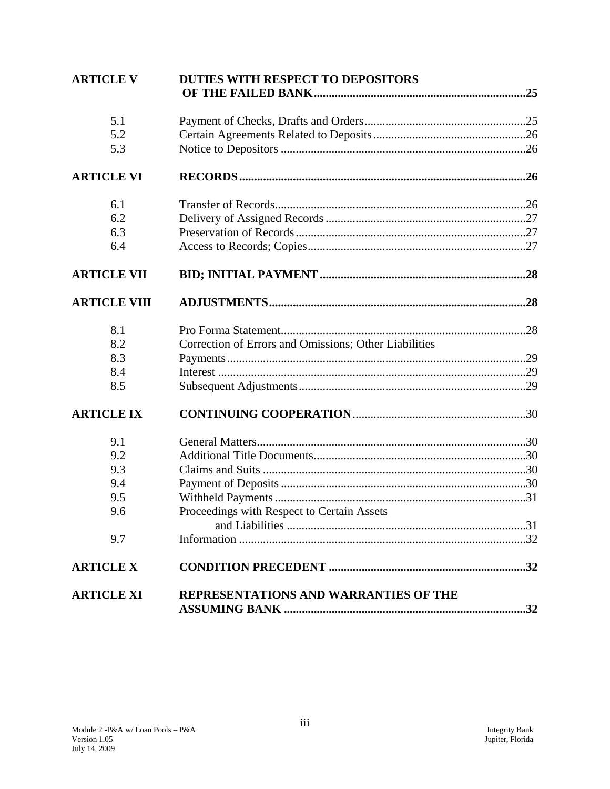| <b>ARTICLE V</b>    | <b>DUTIES WITH RESPECT TO DEPOSITORS</b>              |  |
|---------------------|-------------------------------------------------------|--|
|                     |                                                       |  |
| 5.1                 |                                                       |  |
| 5.2                 |                                                       |  |
| 5.3                 |                                                       |  |
| <b>ARTICLE VI</b>   |                                                       |  |
| 6.1                 |                                                       |  |
| 6.2                 |                                                       |  |
| 6.3                 |                                                       |  |
| 6.4                 |                                                       |  |
| <b>ARTICLE VII</b>  |                                                       |  |
| <b>ARTICLE VIII</b> |                                                       |  |
| 8.1                 |                                                       |  |
| 8.2                 | Correction of Errors and Omissions; Other Liabilities |  |
| 8.3                 |                                                       |  |
| 8.4                 |                                                       |  |
| 8.5                 |                                                       |  |
| <b>ARTICLE IX</b>   |                                                       |  |
| 9.1                 |                                                       |  |
| 9.2                 |                                                       |  |
| 9.3                 |                                                       |  |
| 9.4                 |                                                       |  |
| 9.5                 |                                                       |  |
| 9.6                 | Proceedings with Respect to Certain Assets            |  |
| 9.7                 |                                                       |  |
| <b>ARTICLE X</b>    |                                                       |  |
| <b>ARTICLE XI</b>   | REPRESENTATIONS AND WARRANTIES OF THE                 |  |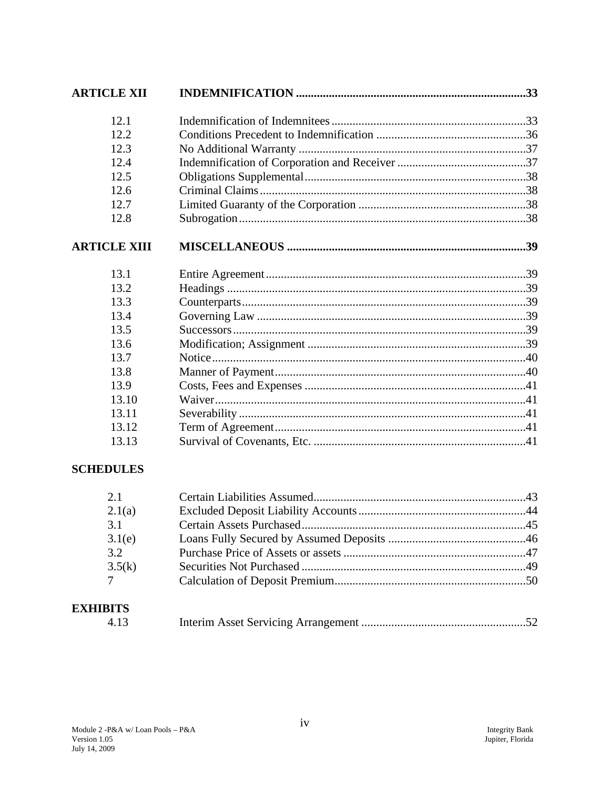| <b>ARTICLE XII</b>  |  |
|---------------------|--|
|                     |  |
| 12.1                |  |
| 12.2                |  |
| 12.3                |  |
| 12.4                |  |
| 12.5                |  |
| 12.6                |  |
| 12.7                |  |
| 12.8                |  |
|                     |  |
| <b>ARTICLE XIII</b> |  |
| 13.1                |  |
|                     |  |
| 13.2                |  |
| 13.3                |  |
| 13.4                |  |
| 13.5                |  |
| 13.6                |  |
| 13.7                |  |
| 13.8                |  |
| 13.9                |  |
| 13.10               |  |
| 13.11               |  |
| 13.12               |  |
| 13.13               |  |
| <b>SCHEDULES</b>    |  |

| 2.1             |  |
|-----------------|--|
| 2.1(a)          |  |
| 3.1             |  |
| 3.1(e)          |  |
| 3.2             |  |
| 3.5(k)          |  |
| $7\overline{ }$ |  |
|                 |  |

## **EXHIBITS**

4.13

|--|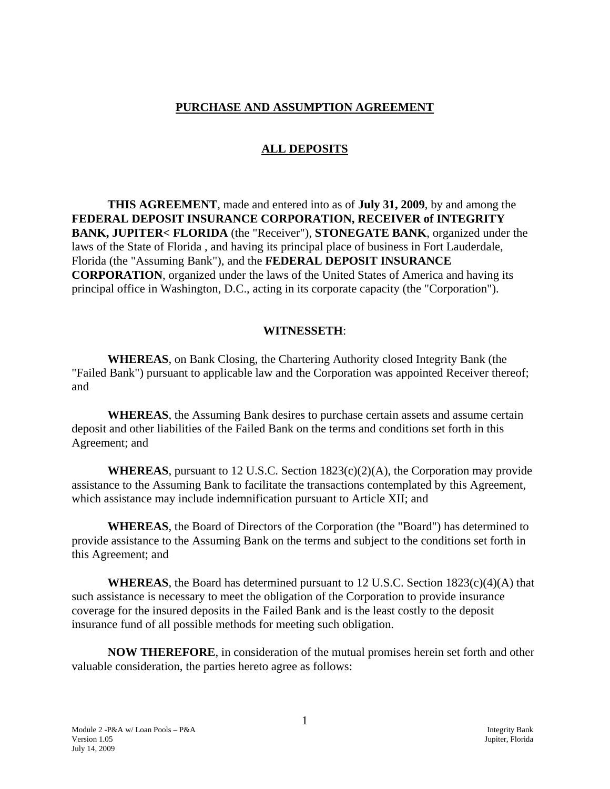### **PURCHASE AND ASSUMPTION AGREEMENT**

## **ALL DEPOSITS**

**THIS AGREEMENT**, made and entered into as of **July 31, 2009**, by and among the **FEDERAL DEPOSIT INSURANCE CORPORATION, RECEIVER of INTEGRITY BANK, JUPITER< FLORIDA** (the "Receiver"), **STONEGATE BANK**, organized under the laws of the State of Florida , and having its principal place of business in Fort Lauderdale, Florida (the "Assuming Bank"), and the **FEDERAL DEPOSIT INSURANCE CORPORATION**, organized under the laws of the United States of America and having its principal office in Washington, D.C., acting in its corporate capacity (the "Corporation").

### **WITNESSETH**:

**WHEREAS**, on Bank Closing, the Chartering Authority closed Integrity Bank (the "Failed Bank") pursuant to applicable law and the Corporation was appointed Receiver thereof; and

**WHEREAS**, the Assuming Bank desires to purchase certain assets and assume certain deposit and other liabilities of the Failed Bank on the terms and conditions set forth in this Agreement; and

**WHEREAS**, pursuant to 12 U.S.C. Section 1823(c)(2)(A), the Corporation may provide assistance to the Assuming Bank to facilitate the transactions contemplated by this Agreement, which assistance may include indemnification pursuant to Article XII; and

**WHEREAS**, the Board of Directors of the Corporation (the "Board") has determined to provide assistance to the Assuming Bank on the terms and subject to the conditions set forth in this Agreement; and

**WHEREAS**, the Board has determined pursuant to 12 U.S.C. Section 1823(c)(4)(A) that such assistance is necessary to meet the obligation of the Corporation to provide insurance coverage for the insured deposits in the Failed Bank and is the least costly to the deposit insurance fund of all possible methods for meeting such obligation.

**NOW THEREFORE**, in consideration of the mutual promises herein set forth and other valuable consideration, the parties hereto agree as follows: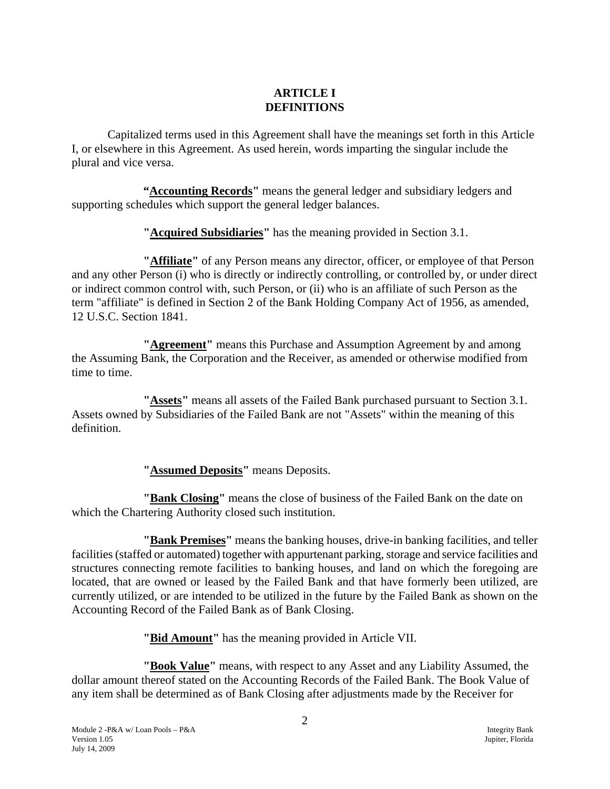## **ARTICLE I DEFINITIONS**

<span id="page-5-1"></span><span id="page-5-0"></span>Capitalized terms used in this Agreement shall have the meanings set forth in this Article I, or elsewhere in this Agreement. As used herein, words imparting the singular include the plural and vice versa.

**"Accounting Records"** means the general ledger and subsidiary ledgers and supporting schedules which support the general ledger balances.

**"Acquired Subsidiaries"** has the meaning provided in Section 3.1.

**"Affiliate"** of any Person means any director, officer, or employee of that Person and any other Person (i) who is directly or indirectly controlling, or controlled by, or under direct or indirect common control with, such Person, or (ii) who is an affiliate of such Person as the term "affiliate" is defined in Section 2 of the Bank Holding Company Act of 1956, as amended, 12 U.S.C. Section 1841.

**"Agreement"** means this Purchase and Assumption Agreement by and among the Assuming Bank, the Corporation and the Receiver, as amended or otherwise modified from time to time.

**"Assets"** means all assets of the Failed Bank purchased pursuant to Section 3.1. Assets owned by Subsidiaries of the Failed Bank are not "Assets" within the meaning of this definition.

**"Assumed Deposits"** means Deposits.

**"Bank Closing"** means the close of business of the Failed Bank on the date on which the Chartering Authority closed such institution.

**"Bank Premises"** means the banking houses, drive-in banking facilities, and teller facilities (staffed or automated) together with appurtenant parking, storage and service facilities and structures connecting remote facilities to banking houses, and land on which the foregoing are located, that are owned or leased by the Failed Bank and that have formerly been utilized, are currently utilized, or are intended to be utilized in the future by the Failed Bank as shown on the Accounting Record of the Failed Bank as of Bank Closing.

**"Bid Amount"** has the meaning provided in Article VII.

**"Book Value"** means, with respect to any Asset and any Liability Assumed, the dollar amount thereof stated on the Accounting Records of the Failed Bank. The Book Value of any item shall be determined as of Bank Closing after adjustments made by the Receiver for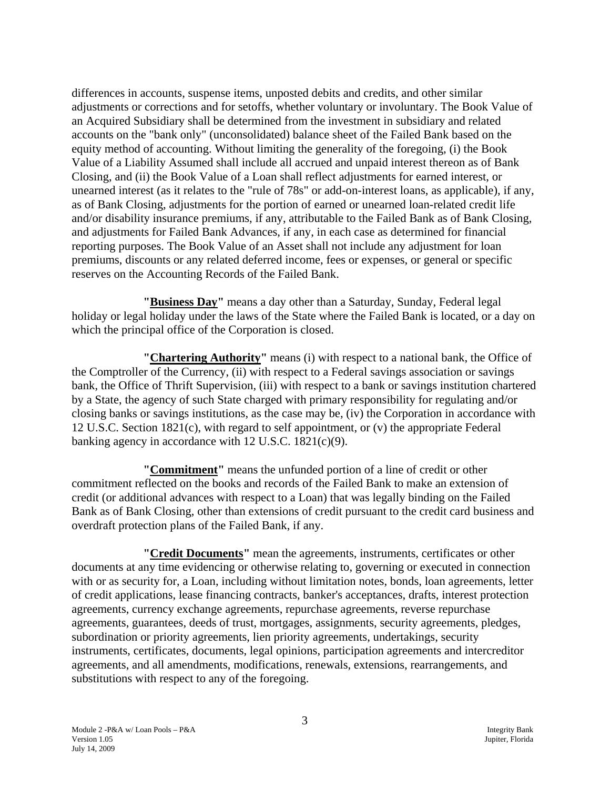differences in accounts, suspense items, unposted debits and credits, and other similar adjustments or corrections and for setoffs, whether voluntary or involuntary. The Book Value of an Acquired Subsidiary shall be determined from the investment in subsidiary and related accounts on the "bank only" (unconsolidated) balance sheet of the Failed Bank based on the equity method of accounting. Without limiting the generality of the foregoing, (i) the Book Value of a Liability Assumed shall include all accrued and unpaid interest thereon as of Bank Closing, and (ii) the Book Value of a Loan shall reflect adjustments for earned interest, or unearned interest (as it relates to the "rule of 78s" or add-on-interest loans, as applicable), if any, as of Bank Closing, adjustments for the portion of earned or unearned loan-related credit life and/or disability insurance premiums, if any, attributable to the Failed Bank as of Bank Closing, and adjustments for Failed Bank Advances, if any, in each case as determined for financial reporting purposes. The Book Value of an Asset shall not include any adjustment for loan premiums, discounts or any related deferred income, fees or expenses, or general or specific reserves on the Accounting Records of the Failed Bank.

**"Business Day"** means a day other than a Saturday, Sunday, Federal legal holiday or legal holiday under the laws of the State where the Failed Bank is located, or a day on which the principal office of the Corporation is closed.

**"Chartering Authority"** means (i) with respect to a national bank, the Office of the Comptroller of the Currency, (ii) with respect to a Federal savings association or savings bank, the Office of Thrift Supervision, (iii) with respect to a bank or savings institution chartered by a State, the agency of such State charged with primary responsibility for regulating and/or closing banks or savings institutions, as the case may be, (iv) the Corporation in accordance with 12 U.S.C. Section 1821(c), with regard to self appointment, or (v) the appropriate Federal banking agency in accordance with 12 U.S.C. 1821(c)(9).

**"Commitment"** means the unfunded portion of a line of credit or other commitment reflected on the books and records of the Failed Bank to make an extension of credit (or additional advances with respect to a Loan) that was legally binding on the Failed Bank as of Bank Closing, other than extensions of credit pursuant to the credit card business and overdraft protection plans of the Failed Bank, if any.

**"Credit Documents"** mean the agreements, instruments, certificates or other documents at any time evidencing or otherwise relating to, governing or executed in connection with or as security for, a Loan, including without limitation notes, bonds, loan agreements, letter of credit applications, lease financing contracts, banker's acceptances, drafts, interest protection agreements, currency exchange agreements, repurchase agreements, reverse repurchase agreements, guarantees, deeds of trust, mortgages, assignments, security agreements, pledges, subordination or priority agreements, lien priority agreements, undertakings, security instruments, certificates, documents, legal opinions, participation agreements and intercreditor agreements, and all amendments, modifications, renewals, extensions, rearrangements, and substitutions with respect to any of the foregoing.

3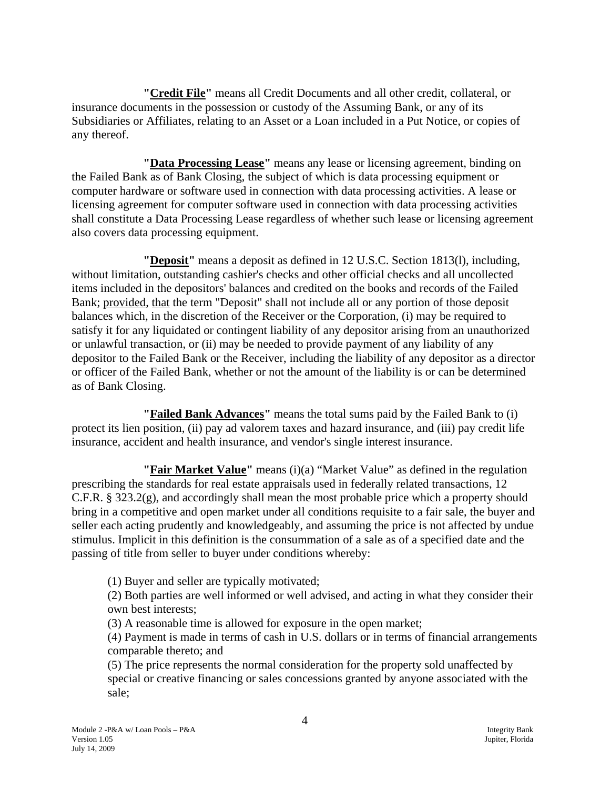**"Credit File"** means all Credit Documents and all other credit, collateral, or insurance documents in the possession or custody of the Assuming Bank, or any of its Subsidiaries or Affiliates, relating to an Asset or a Loan included in a Put Notice, or copies of any thereof.

**"Data Processing Lease"** means any lease or licensing agreement, binding on the Failed Bank as of Bank Closing, the subject of which is data processing equipment or computer hardware or software used in connection with data processing activities. A lease or licensing agreement for computer software used in connection with data processing activities shall constitute a Data Processing Lease regardless of whether such lease or licensing agreement also covers data processing equipment.

**"Deposit"** means a deposit as defined in 12 U.S.C. Section 1813(l), including, without limitation, outstanding cashier's checks and other official checks and all uncollected items included in the depositors' balances and credited on the books and records of the Failed Bank; provided, that the term "Deposit" shall not include all or any portion of those deposit balances which, in the discretion of the Receiver or the Corporation, (i) may be required to satisfy it for any liquidated or contingent liability of any depositor arising from an unauthorized or unlawful transaction, or (ii) may be needed to provide payment of any liability of any depositor to the Failed Bank or the Receiver, including the liability of any depositor as a director or officer of the Failed Bank, whether or not the amount of the liability is or can be determined as of Bank Closing.

**"Failed Bank Advances"** means the total sums paid by the Failed Bank to (i) protect its lien position, (ii) pay ad valorem taxes and hazard insurance, and (iii) pay credit life insurance, accident and health insurance, and vendor's single interest insurance.

**"Fair Market Value"** means (i)(a) "Market Value" as defined in the regulation prescribing the standards for real estate appraisals used in federally related transactions, 12 C.F.R. § 323.2(g), and accordingly shall mean the most probable price which a property should bring in a competitive and open market under all conditions requisite to a fair sale, the buyer and seller each acting prudently and knowledgeably, and assuming the price is not affected by undue stimulus. Implicit in this definition is the consummation of a sale as of a specified date and the passing of title from seller to buyer under conditions whereby:

(1) Buyer and seller are typically motivated;

(2) Both parties are well informed or well advised, and acting in what they consider their own best interests;

(3) A reasonable time is allowed for exposure in the open market;

(4) Payment is made in terms of cash in U.S. dollars or in terms of financial arrangements comparable thereto; and

(5) The price represents the normal consideration for the property sold unaffected by special or creative financing or sales concessions granted by anyone associated with the sale;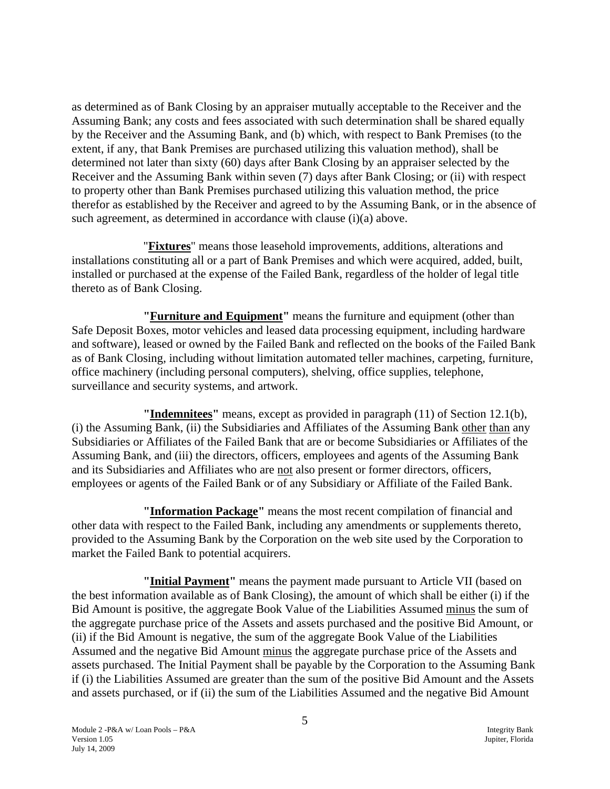as determined as of Bank Closing by an appraiser mutually acceptable to the Receiver and the Assuming Bank; any costs and fees associated with such determination shall be shared equally by the Receiver and the Assuming Bank, and (b) which, with respect to Bank Premises (to the extent, if any, that Bank Premises are purchased utilizing this valuation method), shall be determined not later than sixty (60) days after Bank Closing by an appraiser selected by the Receiver and the Assuming Bank within seven (7) days after Bank Closing; or (ii) with respect to property other than Bank Premises purchased utilizing this valuation method, the price therefor as established by the Receiver and agreed to by the Assuming Bank, or in the absence of such agreement, as determined in accordance with clause (i)(a) above.

"**Fixtures**" means those leasehold improvements, additions, alterations and installations constituting all or a part of Bank Premises and which were acquired, added, built, installed or purchased at the expense of the Failed Bank, regardless of the holder of legal title thereto as of Bank Closing.

**"Furniture and Equipment"** means the furniture and equipment (other than Safe Deposit Boxes, motor vehicles and leased data processing equipment, including hardware and software), leased or owned by the Failed Bank and reflected on the books of the Failed Bank as of Bank Closing, including without limitation automated teller machines, carpeting, furniture, office machinery (including personal computers), shelving, office supplies, telephone, surveillance and security systems, and artwork.

**"Indemnitees"** means, except as provided in paragraph (11) of Section 12.1(b), (i) the Assuming Bank, (ii) the Subsidiaries and Affiliates of the Assuming Bank other than any Subsidiaries or Affiliates of the Failed Bank that are or become Subsidiaries or Affiliates of the Assuming Bank, and (iii) the directors, officers, employees and agents of the Assuming Bank and its Subsidiaries and Affiliates who are not also present or former directors, officers, employees or agents of the Failed Bank or of any Subsidiary or Affiliate of the Failed Bank.

**"Information Package"** means the most recent compilation of financial and other data with respect to the Failed Bank, including any amendments or supplements thereto, provided to the Assuming Bank by the Corporation on the web site used by the Corporation to market the Failed Bank to potential acquirers.

**"Initial Payment"** means the payment made pursuant to Article VII (based on the best information available as of Bank Closing), the amount of which shall be either (i) if the Bid Amount is positive, the aggregate Book Value of the Liabilities Assumed minus the sum of the aggregate purchase price of the Assets and assets purchased and the positive Bid Amount, or (ii) if the Bid Amount is negative, the sum of the aggregate Book Value of the Liabilities Assumed and the negative Bid Amount minus the aggregate purchase price of the Assets and assets purchased. The Initial Payment shall be payable by the Corporation to the Assuming Bank if (i) the Liabilities Assumed are greater than the sum of the positive Bid Amount and the Assets and assets purchased, or if (ii) the sum of the Liabilities Assumed and the negative Bid Amount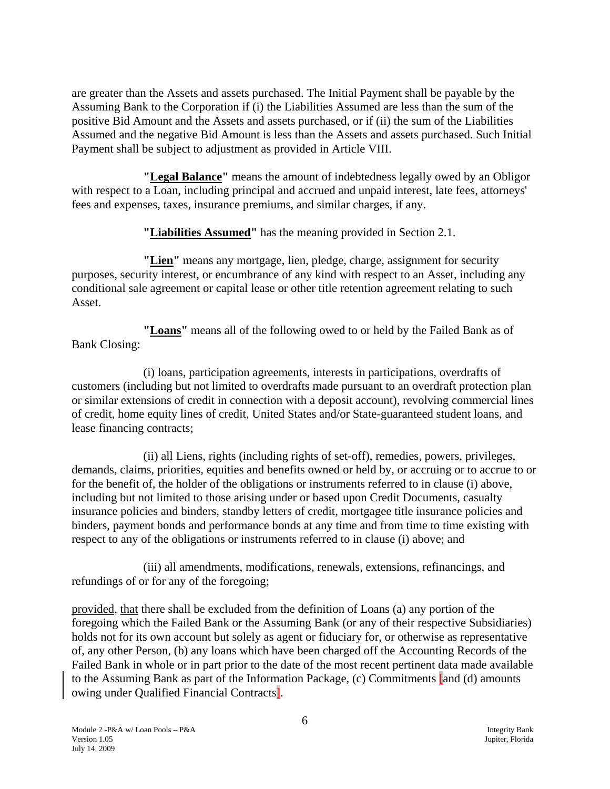are greater than the Assets and assets purchased. The Initial Payment shall be payable by the Assuming Bank to the Corporation if (i) the Liabilities Assumed are less than the sum of the positive Bid Amount and the Assets and assets purchased, or if (ii) the sum of the Liabilities Assumed and the negative Bid Amount is less than the Assets and assets purchased. Such Initial Payment shall be subject to adjustment as provided in Article VIII.

**"Legal Balance"** means the amount of indebtedness legally owed by an Obligor with respect to a Loan, including principal and accrued and unpaid interest, late fees, attorneys' fees and expenses, taxes, insurance premiums, and similar charges, if any.

**"Liabilities Assumed"** has the meaning provided in Section 2.1.

**"Lien"** means any mortgage, lien, pledge, charge, assignment for security purposes, security interest, or encumbrance of any kind with respect to an Asset, including any conditional sale agreement or capital lease or other title retention agreement relating to such Asset.

**"Loans"** means all of the following owed to or held by the Failed Bank as of Bank Closing:

(i) loans, participation agreements, interests in participations, overdrafts of customers (including but not limited to overdrafts made pursuant to an overdraft protection plan or similar extensions of credit in connection with a deposit account), revolving commercial lines of credit, home equity lines of credit, United States and/or State-guaranteed student loans, and lease financing contracts;

(ii) all Liens, rights (including rights of set-off), remedies, powers, privileges, demands, claims, priorities, equities and benefits owned or held by, or accruing or to accrue to or for the benefit of, the holder of the obligations or instruments referred to in clause (i) above, including but not limited to those arising under or based upon Credit Documents, casualty insurance policies and binders, standby letters of credit, mortgagee title insurance policies and binders, payment bonds and performance bonds at any time and from time to time existing with respect to any of the obligations or instruments referred to in clause (i) above; and

(iii) all amendments, modifications, renewals, extensions, refinancings, and refundings of or for any of the foregoing;

provided, that there shall be excluded from the definition of Loans (a) any portion of the foregoing which the Failed Bank or the Assuming Bank (or any of their respective Subsidiaries) holds not for its own account but solely as agent or fiduciary for, or otherwise as representative of, any other Person, (b) any loans which have been charged off the Accounting Records of the Failed Bank in whole or in part prior to the date of the most recent pertinent data made available to the Assuming Bank as part of the Information Package, (c) Commitments [and (d) amounts owing under Qualified Financial Contracts].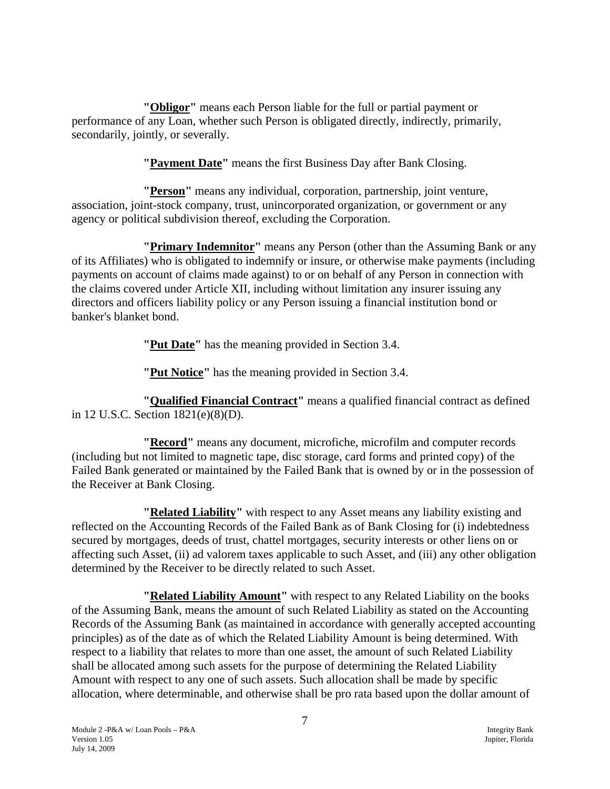**"Obligor"** means each Person liable for the full or partial payment or performance of any Loan, whether such Person is obligated directly, indirectly, primarily, secondarily, jointly, or severally.

**"Payment Date"** means the first Business Day after Bank Closing.

**"Person"** means any individual, corporation, partnership, joint venture, association, joint-stock company, trust, unincorporated organization, or government or any agency or political subdivision thereof, excluding the Corporation.

**"Primary Indemnitor"** means any Person (other than the Assuming Bank or any of its Affiliates) who is obligated to indemnify or insure, or otherwise make payments (including payments on account of claims made against) to or on behalf of any Person in connection with the claims covered under Article XII, including without limitation any insurer issuing any directors and officers liability policy or any Person issuing a financial institution bond or banker's blanket bond.

**"Put Date"** has the meaning provided in Section 3.4.

**"Put Notice"** has the meaning provided in Section 3.4.

**"Qualified Financial Contract"** means a qualified financial contract as defined in 12 U.S.C. Section 1821(e)(8)(D).

**"Record"** means any document, microfiche, microfilm and computer records (including but not limited to magnetic tape, disc storage, card forms and printed copy) of the Failed Bank generated or maintained by the Failed Bank that is owned by or in the possession of the Receiver at Bank Closing.

**"Related Liability"** with respect to any Asset means any liability existing and reflected on the Accounting Records of the Failed Bank as of Bank Closing for (i) indebtedness secured by mortgages, deeds of trust, chattel mortgages, security interests or other liens on or affecting such Asset, (ii) ad valorem taxes applicable to such Asset, and (iii) any other obligation determined by the Receiver to be directly related to such Asset.

**"Related Liability Amount"** with respect to any Related Liability on the books of the Assuming Bank, means the amount of such Related Liability as stated on the Accounting Records of the Assuming Bank (as maintained in accordance with generally accepted accounting principles) as of the date as of which the Related Liability Amount is being determined. With respect to a liability that relates to more than one asset, the amount of such Related Liability shall be allocated among such assets for the purpose of determining the Related Liability Amount with respect to any one of such assets. Such allocation shall be made by specific allocation, where determinable, and otherwise shall be pro rata based upon the dollar amount of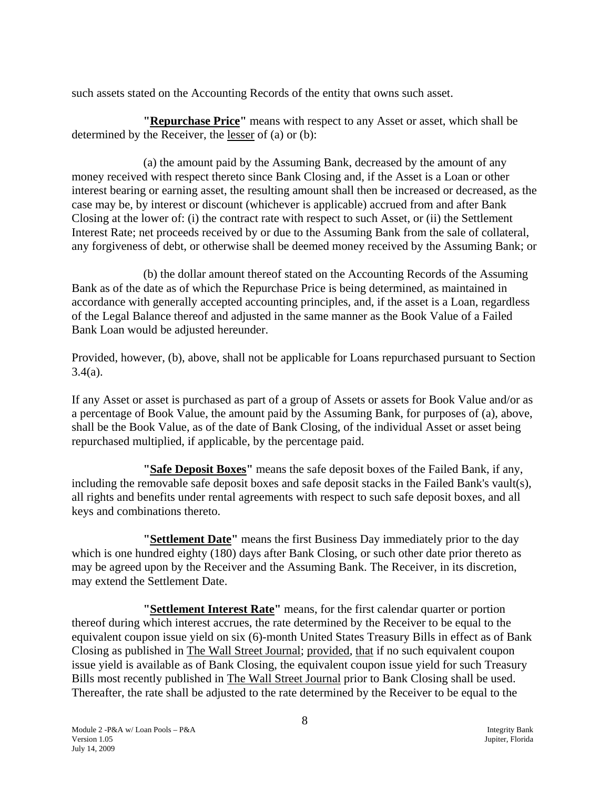such assets stated on the Accounting Records of the entity that owns such asset.

**"Repurchase Price"** means with respect to any Asset or asset, which shall be determined by the Receiver, the lesser of (a) or (b):

(a) the amount paid by the Assuming Bank, decreased by the amount of any money received with respect thereto since Bank Closing and, if the Asset is a Loan or other interest bearing or earning asset, the resulting amount shall then be increased or decreased, as the case may be, by interest or discount (whichever is applicable) accrued from and after Bank Closing at the lower of: (i) the contract rate with respect to such Asset, or (ii) the Settlement Interest Rate; net proceeds received by or due to the Assuming Bank from the sale of collateral, any forgiveness of debt, or otherwise shall be deemed money received by the Assuming Bank; or

(b) the dollar amount thereof stated on the Accounting Records of the Assuming Bank as of the date as of which the Repurchase Price is being determined, as maintained in accordance with generally accepted accounting principles, and, if the asset is a Loan, regardless of the Legal Balance thereof and adjusted in the same manner as the Book Value of a Failed Bank Loan would be adjusted hereunder.

Provided, however, (b), above, shall not be applicable for Loans repurchased pursuant to Section 3.4(a).

If any Asset or asset is purchased as part of a group of Assets or assets for Book Value and/or as a percentage of Book Value, the amount paid by the Assuming Bank, for purposes of (a), above, shall be the Book Value, as of the date of Bank Closing, of the individual Asset or asset being repurchased multiplied, if applicable, by the percentage paid.

**"Safe Deposit Boxes"** means the safe deposit boxes of the Failed Bank, if any, including the removable safe deposit boxes and safe deposit stacks in the Failed Bank's vault(s), all rights and benefits under rental agreements with respect to such safe deposit boxes, and all keys and combinations thereto.

**"Settlement Date"** means the first Business Day immediately prior to the day which is one hundred eighty (180) days after Bank Closing, or such other date prior thereto as may be agreed upon by the Receiver and the Assuming Bank. The Receiver, in its discretion, may extend the Settlement Date.

**"Settlement Interest Rate"** means, for the first calendar quarter or portion thereof during which interest accrues, the rate determined by the Receiver to be equal to the equivalent coupon issue yield on six (6)-month United States Treasury Bills in effect as of Bank Closing as published in The Wall Street Journal; provided, that if no such equivalent coupon issue yield is available as of Bank Closing, the equivalent coupon issue yield for such Treasury Bills most recently published in The Wall Street Journal prior to Bank Closing shall be used. Thereafter, the rate shall be adjusted to the rate determined by the Receiver to be equal to the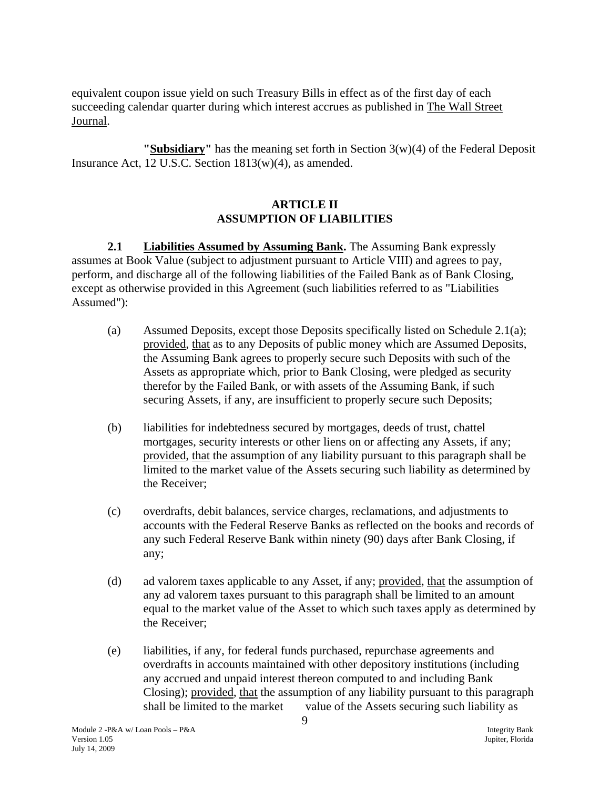<span id="page-12-0"></span>equivalent coupon issue yield on such Treasury Bills in effect as of the first day of each succeeding calendar quarter during which interest accrues as published in The Wall Street Journal.

**"Subsidiary"** has the meaning set forth in Section 3(w)(4) of the Federal Deposit Insurance Act, 12 U.S.C. Section 1813(w)(4), as amended.

### **ARTICLE II ASSUMPTION OF LIABILITIES**

**2.1 Liabilities Assumed by Assuming Bank.** The Assuming Bank expressly assumes at Book Value (subject to adjustment pursuant to Article VIII) and agrees to pay, perform, and discharge all of the following liabilities of the Failed Bank as of Bank Closing, except as otherwise provided in this Agreement (such liabilities referred to as "Liabilities Assumed"):

- (a) Assumed Deposits, except those Deposits specifically listed on Schedule 2.1(a); provided, that as to any Deposits of public money which are Assumed Deposits, the Assuming Bank agrees to properly secure such Deposits with such of the Assets as appropriate which, prior to Bank Closing, were pledged as security therefor by the Failed Bank, or with assets of the Assuming Bank, if such securing Assets, if any, are insufficient to properly secure such Deposits;
- (b) liabilities for indebtedness secured by mortgages, deeds of trust, chattel mortgages, security interests or other liens on or affecting any Assets, if any; provided, that the assumption of any liability pursuant to this paragraph shall be limited to the market value of the Assets securing such liability as determined by the Receiver;
- (c) overdrafts, debit balances, service charges, reclamations, and adjustments to accounts with the Federal Reserve Banks as reflected on the books and records of any such Federal Reserve Bank within ninety (90) days after Bank Closing, if any;
- (d) ad valorem taxes applicable to any Asset, if any; provided, that the assumption of any ad valorem taxes pursuant to this paragraph shall be limited to an amount equal to the market value of the Asset to which such taxes apply as determined by the Receiver;
- (e) liabilities, if any, for federal funds purchased, repurchase agreements and overdrafts in accounts maintained with other depository institutions (including any accrued and unpaid interest thereon computed to and including Bank Closing); provided, that the assumption of any liability pursuant to this paragraph shall be limited to the market value of the Assets securing such liability as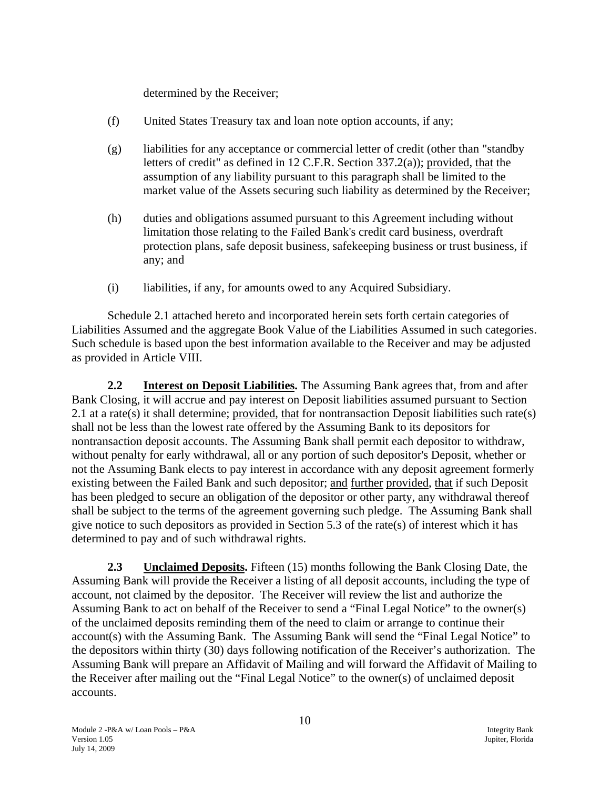determined by the Receiver;

- <span id="page-13-0"></span>(f) United States Treasury tax and loan note option accounts, if any;
- (g) liabilities for any acceptance or commercial letter of credit (other than "standby letters of credit" as defined in 12 C.F.R. Section 337.2(a)); provided, that the assumption of any liability pursuant to this paragraph shall be limited to the market value of the Assets securing such liability as determined by the Receiver;
- (h) duties and obligations assumed pursuant to this Agreement including without limitation those relating to the Failed Bank's credit card business, overdraft protection plans, safe deposit business, safekeeping business or trust business, if any; and
- (i) liabilities, if any, for amounts owed to any Acquired Subsidiary.

Schedule 2.1 attached hereto and incorporated herein sets forth certain categories of Liabilities Assumed and the aggregate Book Value of the Liabilities Assumed in such categories. Such schedule is based upon the best information available to the Receiver and may be adjusted as provided in Article VIII.

**2.2 Interest on Deposit Liabilities.** The Assuming Bank agrees that, from and after Bank Closing, it will accrue and pay interest on Deposit liabilities assumed pursuant to Section 2.1 at a rate(s) it shall determine; provided, that for nontransaction Deposit liabilities such rate(s) shall not be less than the lowest rate offered by the Assuming Bank to its depositors for nontransaction deposit accounts. The Assuming Bank shall permit each depositor to withdraw, without penalty for early withdrawal, all or any portion of such depositor's Deposit, whether or not the Assuming Bank elects to pay interest in accordance with any deposit agreement formerly existing between the Failed Bank and such depositor; and further provided, that if such Deposit has been pledged to secure an obligation of the depositor or other party, any withdrawal thereof shall be subject to the terms of the agreement governing such pledge. The Assuming Bank shall give notice to such depositors as provided in Section 5.3 of the rate(s) of interest which it has determined to pay and of such withdrawal rights.

**2.3 Unclaimed Deposits.** Fifteen (15) months following the Bank Closing Date, the Assuming Bank will provide the Receiver a listing of all deposit accounts, including the type of account, not claimed by the depositor. The Receiver will review the list and authorize the Assuming Bank to act on behalf of the Receiver to send a "Final Legal Notice" to the owner(s) of the unclaimed deposits reminding them of the need to claim or arrange to continue their account(s) with the Assuming Bank. The Assuming Bank will send the "Final Legal Notice" to the depositors within thirty (30) days following notification of the Receiver's authorization. The Assuming Bank will prepare an Affidavit of Mailing and will forward the Affidavit of Mailing to the Receiver after mailing out the "Final Legal Notice" to the owner(s) of unclaimed deposit accounts.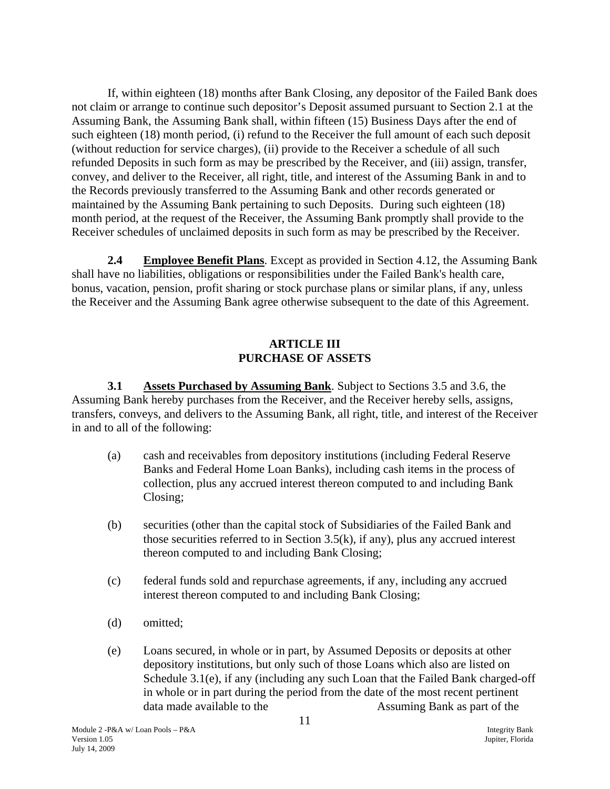<span id="page-14-0"></span>If, within eighteen (18) months after Bank Closing, any depositor of the Failed Bank does not claim or arrange to continue such depositor's Deposit assumed pursuant to Section 2.1 at the Assuming Bank, the Assuming Bank shall, within fifteen (15) Business Days after the end of such eighteen (18) month period, (i) refund to the Receiver the full amount of each such deposit (without reduction for service charges), (ii) provide to the Receiver a schedule of all such refunded Deposits in such form as may be prescribed by the Receiver, and (iii) assign, transfer, convey, and deliver to the Receiver, all right, title, and interest of the Assuming Bank in and to the Records previously transferred to the Assuming Bank and other records generated or maintained by the Assuming Bank pertaining to such Deposits. During such eighteen (18) month period, at the request of the Receiver, the Assuming Bank promptly shall provide to the Receiver schedules of unclaimed deposits in such form as may be prescribed by the Receiver.

**2.4 Employee Benefit Plans**. Except as provided in Section 4.12, the Assuming Bank shall have no liabilities, obligations or responsibilities under the Failed Bank's health care, bonus, vacation, pension, profit sharing or stock purchase plans or similar plans, if any, unless the Receiver and the Assuming Bank agree otherwise subsequent to the date of this Agreement.

#### **ARTICLE III PURCHASE OF ASSETS**

**3.1 Assets Purchased by Assuming Bank**. Subject to Sections 3.5 and 3.6, the Assuming Bank hereby purchases from the Receiver, and the Receiver hereby sells, assigns, transfers, conveys, and delivers to the Assuming Bank, all right, title, and interest of the Receiver in and to all of the following:

- (a) cash and receivables from depository institutions (including Federal Reserve Banks and Federal Home Loan Banks), including cash items in the process of collection, plus any accrued interest thereon computed to and including Bank Closing;
- (b) securities (other than the capital stock of Subsidiaries of the Failed Bank and those securities referred to in Section  $3.5(k)$ , if any), plus any accrued interest thereon computed to and including Bank Closing;
- (c) federal funds sold and repurchase agreements, if any, including any accrued interest thereon computed to and including Bank Closing;
- (d) omitted;
- (e) Loans secured, in whole or in part, by Assumed Deposits or deposits at other depository institutions, but only such of those Loans which also are listed on Schedule 3.1(e), if any (including any such Loan that the Failed Bank charged-off in whole or in part during the period from the date of the most recent pertinent data made available to the Assuming Bank as part of the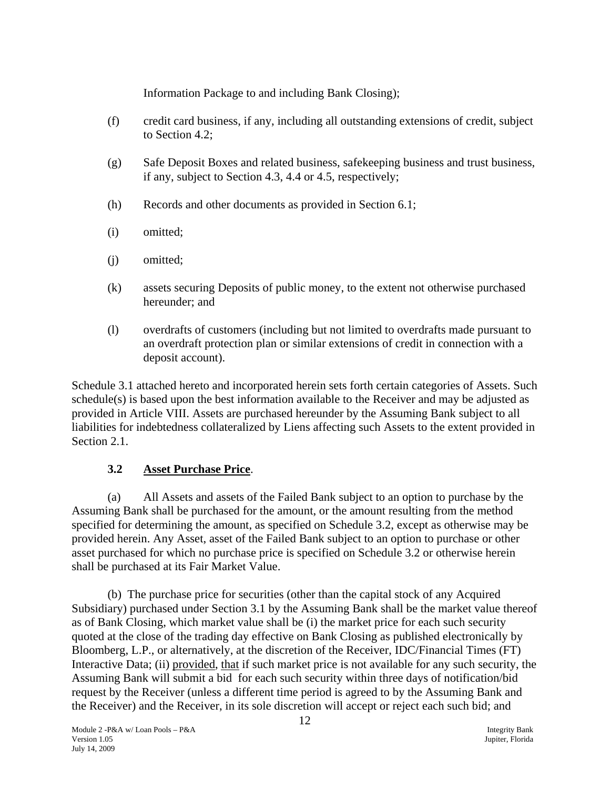Information Package to and including Bank Closing);

- <span id="page-15-0"></span>(f) credit card business, if any, including all outstanding extensions of credit, subject to Section 4.2;
- (g) Safe Deposit Boxes and related business, safekeeping business and trust business, if any, subject to Section 4.3, 4.4 or 4.5, respectively;
- (h) Records and other documents as provided in Section 6.1;
- (i) omitted;
- (j) omitted;
- (k) assets securing Deposits of public money, to the extent not otherwise purchased hereunder; and
- (l) overdrafts of customers (including but not limited to overdrafts made pursuant to an overdraft protection plan or similar extensions of credit in connection with a deposit account).

Schedule 3.1 attached hereto and incorporated herein sets forth certain categories of Assets. Such schedule(s) is based upon the best information available to the Receiver and may be adjusted as provided in Article VIII. Assets are purchased hereunder by the Assuming Bank subject to all liabilities for indebtedness collateralized by Liens affecting such Assets to the extent provided in Section 2.1.

## **3.2 Asset Purchase Price**.

(a) All Assets and assets of the Failed Bank subject to an option to purchase by the Assuming Bank shall be purchased for the amount, or the amount resulting from the method specified for determining the amount, as specified on Schedule 3.2, except as otherwise may be provided herein. Any Asset, asset of the Failed Bank subject to an option to purchase or other asset purchased for which no purchase price is specified on Schedule 3.2 or otherwise herein shall be purchased at its Fair Market Value.

(b) The purchase price for securities (other than the capital stock of any Acquired Subsidiary) purchased under Section 3.1 by the Assuming Bank shall be the market value thereof as of Bank Closing, which market value shall be (i) the market price for each such security quoted at the close of the trading day effective on Bank Closing as published electronically by Bloomberg, L.P., or alternatively, at the discretion of the Receiver, IDC/Financial Times (FT) Interactive Data; (ii) provided, that if such market price is not available for any such security, the Assuming Bank will submit a bid for each such security within three days of notification/bid request by the Receiver (unless a different time period is agreed to by the Assuming Bank and the Receiver) and the Receiver, in its sole discretion will accept or reject each such bid; and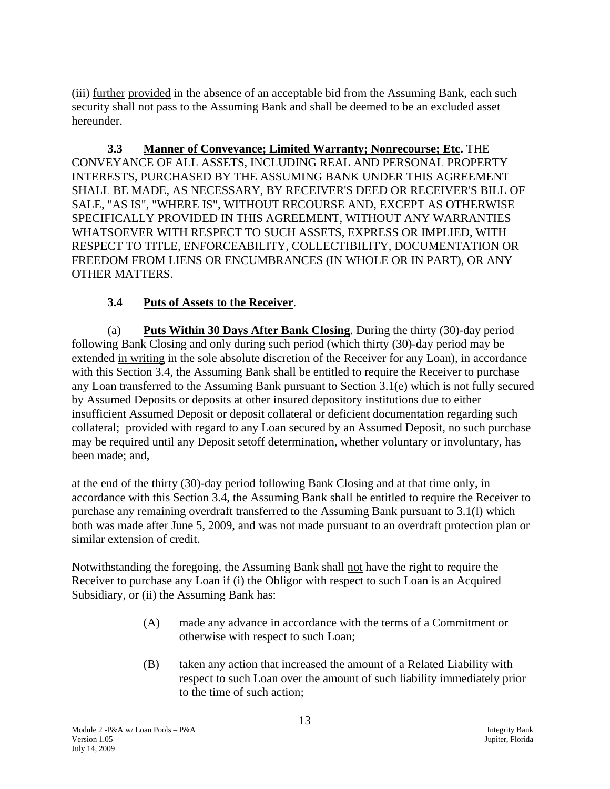<span id="page-16-0"></span>(iii) further provided in the absence of an acceptable bid from the Assuming Bank, each such security shall not pass to the Assuming Bank and shall be deemed to be an excluded asset hereunder.

**3.3 Manner of Conveyance; Limited Warranty; Nonrecourse; Etc.** THE CONVEYANCE OF ALL ASSETS, INCLUDING REAL AND PERSONAL PROPERTY INTERESTS, PURCHASED BY THE ASSUMING BANK UNDER THIS AGREEMENT SHALL BE MADE, AS NECESSARY, BY RECEIVER'S DEED OR RECEIVER'S BILL OF SALE, "AS IS", "WHERE IS", WITHOUT RECOURSE AND, EXCEPT AS OTHERWISE SPECIFICALLY PROVIDED IN THIS AGREEMENT, WITHOUT ANY WARRANTIES WHATSOEVER WITH RESPECT TO SUCH ASSETS, EXPRESS OR IMPLIED, WITH RESPECT TO TITLE, ENFORCEABILITY, COLLECTIBILITY, DOCUMENTATION OR FREEDOM FROM LIENS OR ENCUMBRANCES (IN WHOLE OR IN PART), OR ANY OTHER MATTERS.

## **3.4 Puts of Assets to the Receiver**.

(a) **Puts Within 30 Days After Bank Closing**. During the thirty (30)-day period following Bank Closing and only during such period (which thirty (30)-day period may be extended in writing in the sole absolute discretion of the Receiver for any Loan), in accordance with this Section 3.4, the Assuming Bank shall be entitled to require the Receiver to purchase any Loan transferred to the Assuming Bank pursuant to Section 3.1(e) which is not fully secured by Assumed Deposits or deposits at other insured depository institutions due to either insufficient Assumed Deposit or deposit collateral or deficient documentation regarding such collateral; provided with regard to any Loan secured by an Assumed Deposit, no such purchase may be required until any Deposit setoff determination, whether voluntary or involuntary, has been made; and,

at the end of the thirty (30)-day period following Bank Closing and at that time only, in accordance with this Section 3.4, the Assuming Bank shall be entitled to require the Receiver to purchase any remaining overdraft transferred to the Assuming Bank pursuant to 3.1(l) which both was made after June 5, 2009, and was not made pursuant to an overdraft protection plan or similar extension of credit.

Notwithstanding the foregoing, the Assuming Bank shall not have the right to require the Receiver to purchase any Loan if (i) the Obligor with respect to such Loan is an Acquired Subsidiary, or (ii) the Assuming Bank has:

- (A) made any advance in accordance with the terms of a Commitment or otherwise with respect to such Loan;
- (B) taken any action that increased the amount of a Related Liability with respect to such Loan over the amount of such liability immediately prior to the time of such action;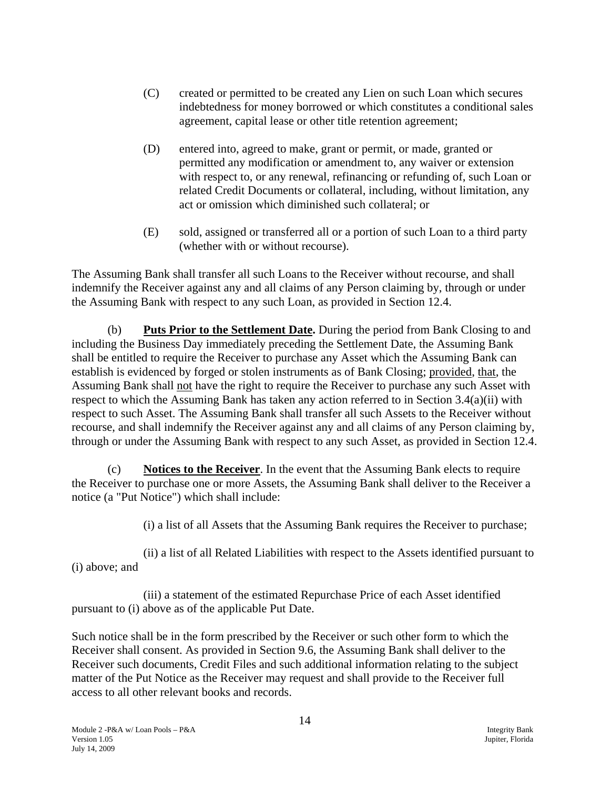- (C) created or permitted to be created any Lien on such Loan which secures indebtedness for money borrowed or which constitutes a conditional sales agreement, capital lease or other title retention agreement;
- (D) entered into, agreed to make, grant or permit, or made, granted or permitted any modification or amendment to, any waiver or extension with respect to, or any renewal, refinancing or refunding of, such Loan or related Credit Documents or collateral, including, without limitation, any act or omission which diminished such collateral; or
- (E) sold, assigned or transferred all or a portion of such Loan to a third party (whether with or without recourse).

The Assuming Bank shall transfer all such Loans to the Receiver without recourse, and shall indemnify the Receiver against any and all claims of any Person claiming by, through or under the Assuming Bank with respect to any such Loan, as provided in Section 12.4.

(b) **Puts Prior to the Settlement Date.** During the period from Bank Closing to and including the Business Day immediately preceding the Settlement Date, the Assuming Bank shall be entitled to require the Receiver to purchase any Asset which the Assuming Bank can establish is evidenced by forged or stolen instruments as of Bank Closing; provided, that, the Assuming Bank shall not have the right to require the Receiver to purchase any such Asset with respect to which the Assuming Bank has taken any action referred to in Section 3.4(a)(ii) with respect to such Asset. The Assuming Bank shall transfer all such Assets to the Receiver without recourse, and shall indemnify the Receiver against any and all claims of any Person claiming by, through or under the Assuming Bank with respect to any such Asset, as provided in Section 12.4.

(c) **Notices to the Receiver**. In the event that the Assuming Bank elects to require the Receiver to purchase one or more Assets, the Assuming Bank shall deliver to the Receiver a notice (a "Put Notice") which shall include:

(i) a list of all Assets that the Assuming Bank requires the Receiver to purchase;

(ii) a list of all Related Liabilities with respect to the Assets identified pursuant to (i) above; and

(iii) a statement of the estimated Repurchase Price of each Asset identified pursuant to (i) above as of the applicable Put Date.

Such notice shall be in the form prescribed by the Receiver or such other form to which the Receiver shall consent. As provided in Section 9.6, the Assuming Bank shall deliver to the Receiver such documents, Credit Files and such additional information relating to the subject matter of the Put Notice as the Receiver may request and shall provide to the Receiver full access to all other relevant books and records.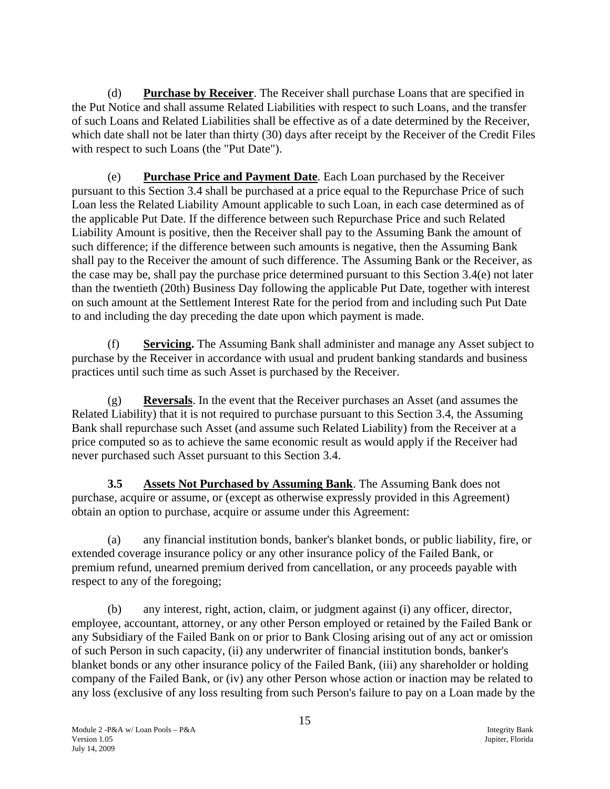<span id="page-18-0"></span> (d) **Purchase by Receiver**. The Receiver shall purchase Loans that are specified in the Put Notice and shall assume Related Liabilities with respect to such Loans, and the transfer of such Loans and Related Liabilities shall be effective as of a date determined by the Receiver, which date shall not be later than thirty (30) days after receipt by the Receiver of the Credit Files with respect to such Loans (the "Put Date").

(e) **Purchase Price and Payment Date**. Each Loan purchased by the Receiver pursuant to this Section 3.4 shall be purchased at a price equal to the Repurchase Price of such Loan less the Related Liability Amount applicable to such Loan, in each case determined as of the applicable Put Date. If the difference between such Repurchase Price and such Related Liability Amount is positive, then the Receiver shall pay to the Assuming Bank the amount of such difference; if the difference between such amounts is negative, then the Assuming Bank shall pay to the Receiver the amount of such difference. The Assuming Bank or the Receiver, as the case may be, shall pay the purchase price determined pursuant to this Section 3.4(e) not later than the twentieth (20th) Business Day following the applicable Put Date, together with interest on such amount at the Settlement Interest Rate for the period from and including such Put Date to and including the day preceding the date upon which payment is made.

(f) **Servicing.** The Assuming Bank shall administer and manage any Asset subject to purchase by the Receiver in accordance with usual and prudent banking standards and business practices until such time as such Asset is purchased by the Receiver.

(g) **Reversals**. In the event that the Receiver purchases an Asset (and assumes the Related Liability) that it is not required to purchase pursuant to this Section 3.4, the Assuming Bank shall repurchase such Asset (and assume such Related Liability) from the Receiver at a price computed so as to achieve the same economic result as would apply if the Receiver had never purchased such Asset pursuant to this Section 3.4.

**3.5 Assets Not Purchased by Assuming Bank**. The Assuming Bank does not purchase, acquire or assume, or (except as otherwise expressly provided in this Agreement) obtain an option to purchase, acquire or assume under this Agreement:

(a) any financial institution bonds, banker's blanket bonds, or public liability, fire, or extended coverage insurance policy or any other insurance policy of the Failed Bank, or premium refund, unearned premium derived from cancellation, or any proceeds payable with respect to any of the foregoing;

(b) any interest, right, action, claim, or judgment against (i) any officer, director, employee, accountant, attorney, or any other Person employed or retained by the Failed Bank or any Subsidiary of the Failed Bank on or prior to Bank Closing arising out of any act or omission of such Person in such capacity, (ii) any underwriter of financial institution bonds, banker's blanket bonds or any other insurance policy of the Failed Bank, (iii) any shareholder or holding company of the Failed Bank, or (iv) any other Person whose action or inaction may be related to any loss (exclusive of any loss resulting from such Person's failure to pay on a Loan made by the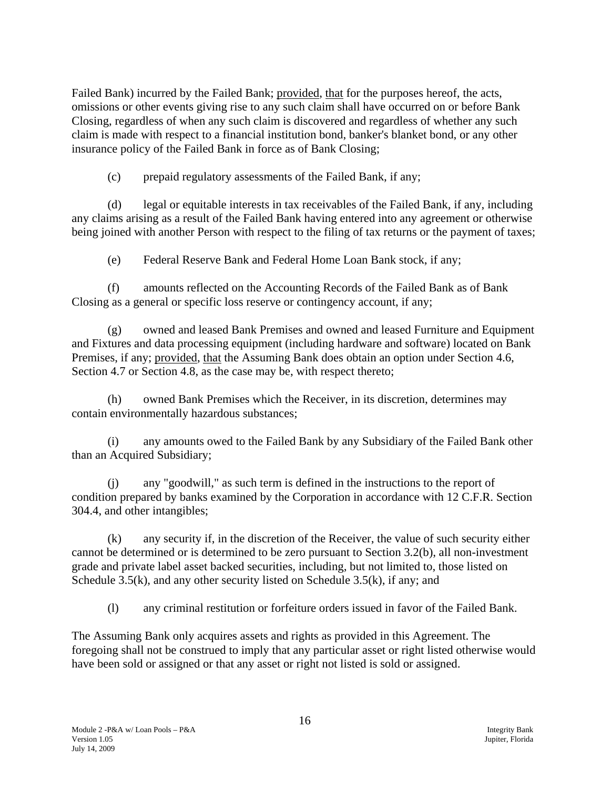Failed Bank) incurred by the Failed Bank; provided, that for the purposes hereof, the acts, omissions or other events giving rise to any such claim shall have occurred on or before Bank Closing, regardless of when any such claim is discovered and regardless of whether any such claim is made with respect to a financial institution bond, banker's blanket bond, or any other insurance policy of the Failed Bank in force as of Bank Closing;

(c) prepaid regulatory assessments of the Failed Bank, if any;

(d) legal or equitable interests in tax receivables of the Failed Bank, if any, including any claims arising as a result of the Failed Bank having entered into any agreement or otherwise being joined with another Person with respect to the filing of tax returns or the payment of taxes;

(e) Federal Reserve Bank and Federal Home Loan Bank stock, if any;

(f) amounts reflected on the Accounting Records of the Failed Bank as of Bank Closing as a general or specific loss reserve or contingency account, if any;

(g) owned and leased Bank Premises and owned and leased Furniture and Equipment and Fixtures and data processing equipment (including hardware and software) located on Bank Premises, if any; provided, that the Assuming Bank does obtain an option under Section 4.6, Section 4.7 or Section 4.8, as the case may be, with respect thereto;

(h) owned Bank Premises which the Receiver, in its discretion, determines may contain environmentally hazardous substances;

(i) any amounts owed to the Failed Bank by any Subsidiary of the Failed Bank other than an Acquired Subsidiary;

(j) any "goodwill," as such term is defined in the instructions to the report of condition prepared by banks examined by the Corporation in accordance with 12 C.F.R. Section 304.4, and other intangibles;

(k) any security if, in the discretion of the Receiver, the value of such security either cannot be determined or is determined to be zero pursuant to Section 3.2(b), all non-investment grade and private label asset backed securities, including, but not limited to, those listed on Schedule 3.5(k), and any other security listed on Schedule 3.5(k), if any; and

(l) any criminal restitution or forfeiture orders issued in favor of the Failed Bank.

The Assuming Bank only acquires assets and rights as provided in this Agreement. The foregoing shall not be construed to imply that any particular asset or right listed otherwise would have been sold or assigned or that any asset or right not listed is sold or assigned.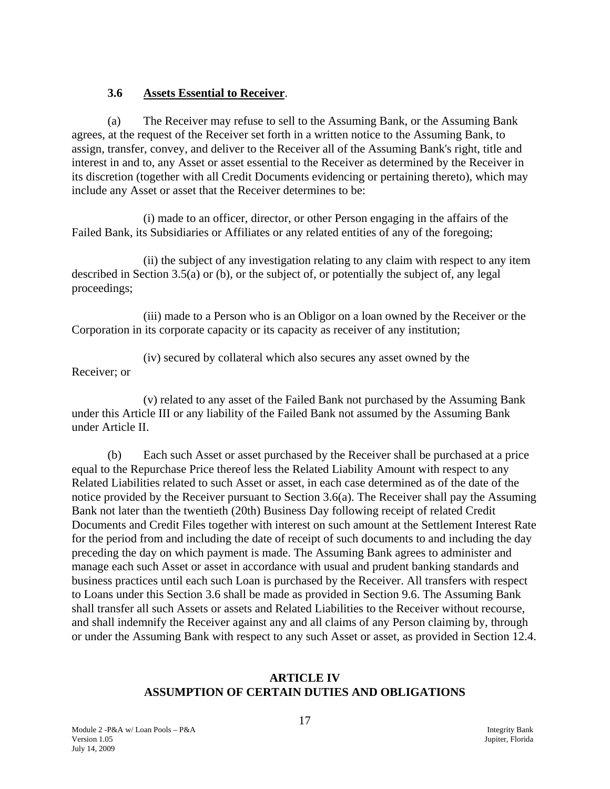### **3.6 Assets Essential to Receiver**.

<span id="page-20-0"></span>(a) The Receiver may refuse to sell to the Assuming Bank, or the Assuming Bank agrees, at the request of the Receiver set forth in a written notice to the Assuming Bank, to assign, transfer, convey, and deliver to the Receiver all of the Assuming Bank's right, title and interest in and to, any Asset or asset essential to the Receiver as determined by the Receiver in its discretion (together with all Credit Documents evidencing or pertaining thereto), which may include any Asset or asset that the Receiver determines to be:

(i) made to an officer, director, or other Person engaging in the affairs of the Failed Bank, its Subsidiaries or Affiliates or any related entities of any of the foregoing;

(ii) the subject of any investigation relating to any claim with respect to any item described in Section 3.5(a) or (b), or the subject of, or potentially the subject of, any legal proceedings;

(iii) made to a Person who is an Obligor on a loan owned by the Receiver or the Corporation in its corporate capacity or its capacity as receiver of any institution;

(iv) secured by collateral which also secures any asset owned by the

Receiver; or

(v) related to any asset of the Failed Bank not purchased by the Assuming Bank under this Article III or any liability of the Failed Bank not assumed by the Assuming Bank under Article II.

(b) Each such Asset or asset purchased by the Receiver shall be purchased at a price equal to the Repurchase Price thereof less the Related Liability Amount with respect to any Related Liabilities related to such Asset or asset, in each case determined as of the date of the notice provided by the Receiver pursuant to Section 3.6(a). The Receiver shall pay the Assuming Bank not later than the twentieth (20th) Business Day following receipt of related Credit Documents and Credit Files together with interest on such amount at the Settlement Interest Rate for the period from and including the date of receipt of such documents to and including the day preceding the day on which payment is made. The Assuming Bank agrees to administer and manage each such Asset or asset in accordance with usual and prudent banking standards and business practices until each such Loan is purchased by the Receiver. All transfers with respect to Loans under this Section 3.6 shall be made as provided in Section 9.6. The Assuming Bank shall transfer all such Assets or assets and Related Liabilities to the Receiver without recourse, and shall indemnify the Receiver against any and all claims of any Person claiming by, through or under the Assuming Bank with respect to any such Asset or asset, as provided in Section 12.4.

### **ARTICLE IV ASSUMPTION OF CERTAIN DUTIES AND OBLIGATIONS**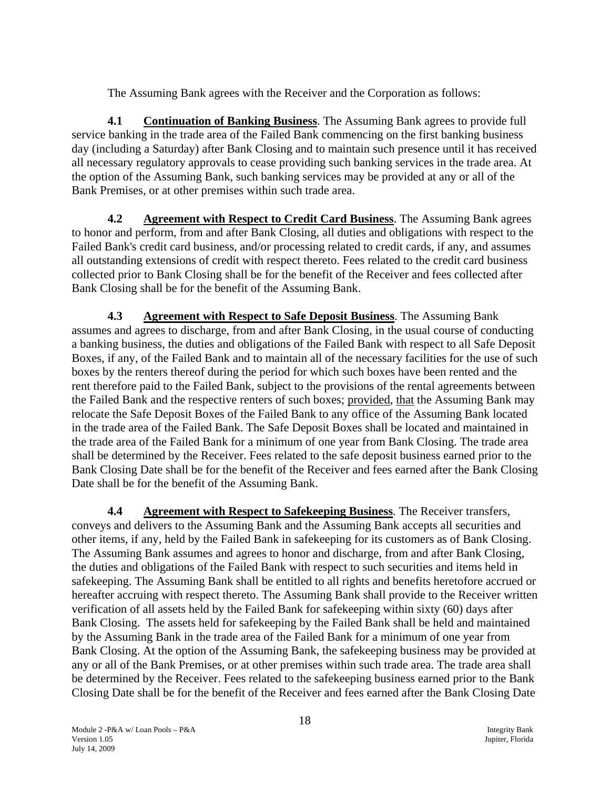The Assuming Bank agrees with the Receiver and the Corporation as follows:

<span id="page-21-0"></span>**4.1 Continuation of Banking Business**. The Assuming Bank agrees to provide full service banking in the trade area of the Failed Bank commencing on the first banking business day (including a Saturday) after Bank Closing and to maintain such presence until it has received all necessary regulatory approvals to cease providing such banking services in the trade area. At the option of the Assuming Bank, such banking services may be provided at any or all of the Bank Premises, or at other premises within such trade area.

**4.2** Agreement with Respect to Credit Card Business. The Assuming Bank agrees to honor and perform, from and after Bank Closing, all duties and obligations with respect to the Failed Bank's credit card business, and/or processing related to credit cards, if any, and assumes all outstanding extensions of credit with respect thereto. Fees related to the credit card business collected prior to Bank Closing shall be for the benefit of the Receiver and fees collected after Bank Closing shall be for the benefit of the Assuming Bank.

**4.3 Agreement with Respect to Safe Deposit Business**. The Assuming Bank assumes and agrees to discharge, from and after Bank Closing, in the usual course of conducting a banking business, the duties and obligations of the Failed Bank with respect to all Safe Deposit Boxes, if any, of the Failed Bank and to maintain all of the necessary facilities for the use of such boxes by the renters thereof during the period for which such boxes have been rented and the rent therefore paid to the Failed Bank, subject to the provisions of the rental agreements between the Failed Bank and the respective renters of such boxes; provided, that the Assuming Bank may relocate the Safe Deposit Boxes of the Failed Bank to any office of the Assuming Bank located in the trade area of the Failed Bank. The Safe Deposit Boxes shall be located and maintained in the trade area of the Failed Bank for a minimum of one year from Bank Closing. The trade area shall be determined by the Receiver. Fees related to the safe deposit business earned prior to the Bank Closing Date shall be for the benefit of the Receiver and fees earned after the Bank Closing Date shall be for the benefit of the Assuming Bank.

**4.4 Agreement with Respect to Safekeeping Business**. The Receiver transfers, conveys and delivers to the Assuming Bank and the Assuming Bank accepts all securities and other items, if any, held by the Failed Bank in safekeeping for its customers as of Bank Closing. The Assuming Bank assumes and agrees to honor and discharge, from and after Bank Closing, the duties and obligations of the Failed Bank with respect to such securities and items held in safekeeping. The Assuming Bank shall be entitled to all rights and benefits heretofore accrued or hereafter accruing with respect thereto. The Assuming Bank shall provide to the Receiver written verification of all assets held by the Failed Bank for safekeeping within sixty (60) days after Bank Closing. The assets held for safekeeping by the Failed Bank shall be held and maintained by the Assuming Bank in the trade area of the Failed Bank for a minimum of one year from Bank Closing. At the option of the Assuming Bank, the safekeeping business may be provided at any or all of the Bank Premises, or at other premises within such trade area. The trade area shall be determined by the Receiver. Fees related to the safekeeping business earned prior to the Bank Closing Date shall be for the benefit of the Receiver and fees earned after the Bank Closing Date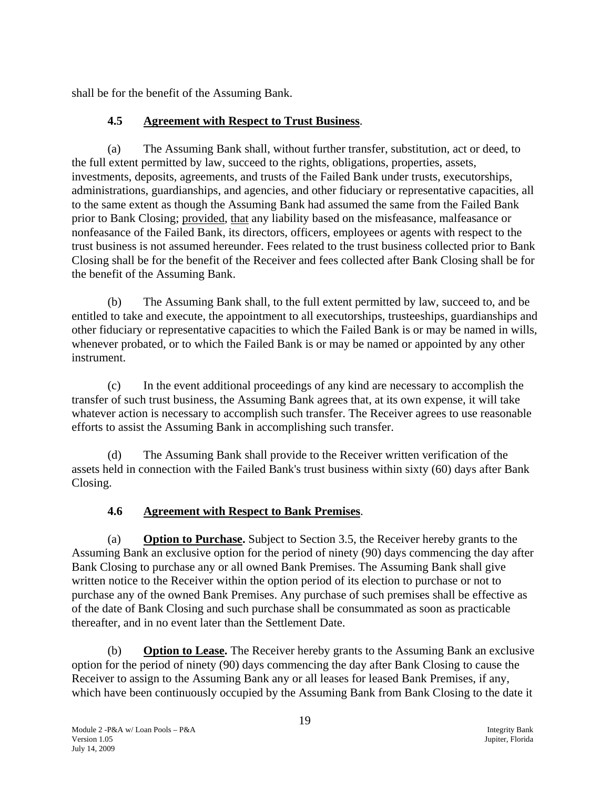<span id="page-22-0"></span>shall be for the benefit of the Assuming Bank.

# **4.5 Agreement with Respect to Trust Business**.

(a) The Assuming Bank shall, without further transfer, substitution, act or deed, to the full extent permitted by law, succeed to the rights, obligations, properties, assets, investments, deposits, agreements, and trusts of the Failed Bank under trusts, executorships, administrations, guardianships, and agencies, and other fiduciary or representative capacities, all to the same extent as though the Assuming Bank had assumed the same from the Failed Bank prior to Bank Closing; provided, that any liability based on the misfeasance, malfeasance or nonfeasance of the Failed Bank, its directors, officers, employees or agents with respect to the trust business is not assumed hereunder. Fees related to the trust business collected prior to Bank Closing shall be for the benefit of the Receiver and fees collected after Bank Closing shall be for the benefit of the Assuming Bank.

(b) The Assuming Bank shall, to the full extent permitted by law, succeed to, and be entitled to take and execute, the appointment to all executorships, trusteeships, guardianships and other fiduciary or representative capacities to which the Failed Bank is or may be named in wills, whenever probated, or to which the Failed Bank is or may be named or appointed by any other instrument.

(c) In the event additional proceedings of any kind are necessary to accomplish the transfer of such trust business, the Assuming Bank agrees that, at its own expense, it will take whatever action is necessary to accomplish such transfer. The Receiver agrees to use reasonable efforts to assist the Assuming Bank in accomplishing such transfer.

(d) The Assuming Bank shall provide to the Receiver written verification of the assets held in connection with the Failed Bank's trust business within sixty (60) days after Bank Closing.

# **4.6 Agreement with Respect to Bank Premises**.

(a) **Option to Purchase.** Subject to Section 3.5, the Receiver hereby grants to the Assuming Bank an exclusive option for the period of ninety (90) days commencing the day after Bank Closing to purchase any or all owned Bank Premises. The Assuming Bank shall give written notice to the Receiver within the option period of its election to purchase or not to purchase any of the owned Bank Premises. Any purchase of such premises shall be effective as of the date of Bank Closing and such purchase shall be consummated as soon as practicable thereafter, and in no event later than the Settlement Date.

(b) **Option to Lease.** The Receiver hereby grants to the Assuming Bank an exclusive option for the period of ninety (90) days commencing the day after Bank Closing to cause the Receiver to assign to the Assuming Bank any or all leases for leased Bank Premises, if any, which have been continuously occupied by the Assuming Bank from Bank Closing to the date it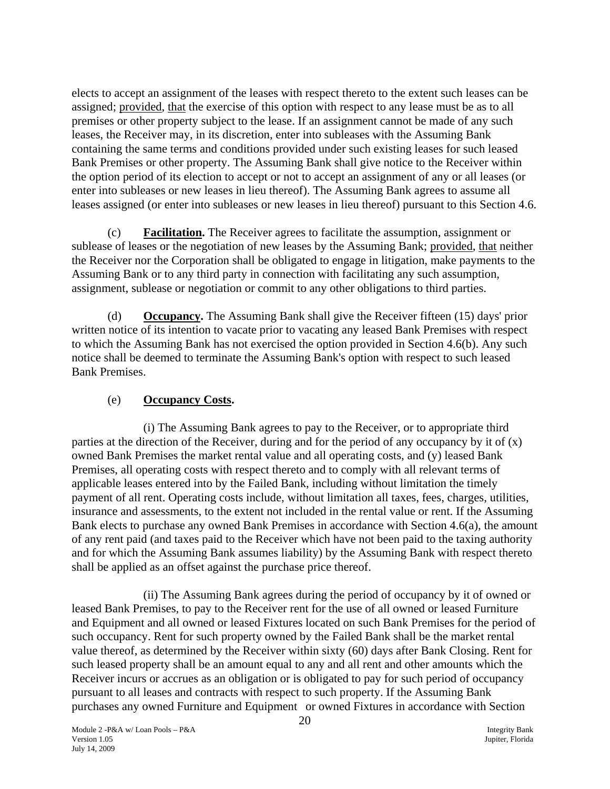elects to accept an assignment of the leases with respect thereto to the extent such leases can be assigned; provided, that the exercise of this option with respect to any lease must be as to all premises or other property subject to the lease. If an assignment cannot be made of any such leases, the Receiver may, in its discretion, enter into subleases with the Assuming Bank containing the same terms and conditions provided under such existing leases for such leased Bank Premises or other property. The Assuming Bank shall give notice to the Receiver within the option period of its election to accept or not to accept an assignment of any or all leases (or enter into subleases or new leases in lieu thereof). The Assuming Bank agrees to assume all leases assigned (or enter into subleases or new leases in lieu thereof) pursuant to this Section 4.6.

(c) **Facilitation.** The Receiver agrees to facilitate the assumption, assignment or sublease of leases or the negotiation of new leases by the Assuming Bank; provided, that neither the Receiver nor the Corporation shall be obligated to engage in litigation, make payments to the Assuming Bank or to any third party in connection with facilitating any such assumption, assignment, sublease or negotiation or commit to any other obligations to third parties.

(d) **Occupancy.** The Assuming Bank shall give the Receiver fifteen (15) days' prior written notice of its intention to vacate prior to vacating any leased Bank Premises with respect to which the Assuming Bank has not exercised the option provided in Section 4.6(b). Any such notice shall be deemed to terminate the Assuming Bank's option with respect to such leased Bank Premises.

## (e) **Occupancy Costs.**

(i) The Assuming Bank agrees to pay to the Receiver, or to appropriate third parties at the direction of the Receiver, during and for the period of any occupancy by it of (x) owned Bank Premises the market rental value and all operating costs, and (y) leased Bank Premises, all operating costs with respect thereto and to comply with all relevant terms of applicable leases entered into by the Failed Bank, including without limitation the timely payment of all rent. Operating costs include, without limitation all taxes, fees, charges, utilities, insurance and assessments, to the extent not included in the rental value or rent. If the Assuming Bank elects to purchase any owned Bank Premises in accordance with Section 4.6(a), the amount of any rent paid (and taxes paid to the Receiver which have not been paid to the taxing authority and for which the Assuming Bank assumes liability) by the Assuming Bank with respect thereto shall be applied as an offset against the purchase price thereof.

(ii) The Assuming Bank agrees during the period of occupancy by it of owned or leased Bank Premises, to pay to the Receiver rent for the use of all owned or leased Furniture and Equipment and all owned or leased Fixtures located on such Bank Premises for the period of such occupancy. Rent for such property owned by the Failed Bank shall be the market rental value thereof, as determined by the Receiver within sixty (60) days after Bank Closing. Rent for such leased property shall be an amount equal to any and all rent and other amounts which the Receiver incurs or accrues as an obligation or is obligated to pay for such period of occupancy pursuant to all leases and contracts with respect to such property. If the Assuming Bank purchases any owned Furniture and Equipment or owned Fixtures in accordance with Section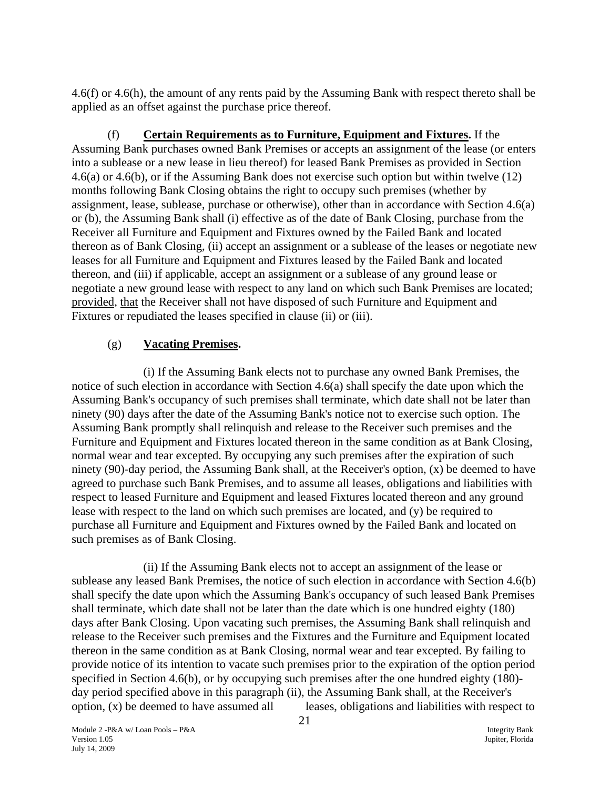4.6(f) or 4.6(h), the amount of any rents paid by the Assuming Bank with respect thereto shall be applied as an offset against the purchase price thereof.

(f) **Certain Requirements as to Furniture, Equipment and Fixtures.** If the Assuming Bank purchases owned Bank Premises or accepts an assignment of the lease (or enters into a sublease or a new lease in lieu thereof) for leased Bank Premises as provided in Section 4.6(a) or 4.6(b), or if the Assuming Bank does not exercise such option but within twelve (12) months following Bank Closing obtains the right to occupy such premises (whether by assignment, lease, sublease, purchase or otherwise), other than in accordance with Section 4.6(a) or (b), the Assuming Bank shall (i) effective as of the date of Bank Closing, purchase from the Receiver all Furniture and Equipment and Fixtures owned by the Failed Bank and located thereon as of Bank Closing, (ii) accept an assignment or a sublease of the leases or negotiate new leases for all Furniture and Equipment and Fixtures leased by the Failed Bank and located thereon, and (iii) if applicable, accept an assignment or a sublease of any ground lease or negotiate a new ground lease with respect to any land on which such Bank Premises are located; provided, that the Receiver shall not have disposed of such Furniture and Equipment and Fixtures or repudiated the leases specified in clause (ii) or (iii).

## (g) **Vacating Premises.**

(i) If the Assuming Bank elects not to purchase any owned Bank Premises, the notice of such election in accordance with Section 4.6(a) shall specify the date upon which the Assuming Bank's occupancy of such premises shall terminate, which date shall not be later than ninety (90) days after the date of the Assuming Bank's notice not to exercise such option. The Assuming Bank promptly shall relinquish and release to the Receiver such premises and the Furniture and Equipment and Fixtures located thereon in the same condition as at Bank Closing, normal wear and tear excepted. By occupying any such premises after the expiration of such ninety (90)-day period, the Assuming Bank shall, at the Receiver's option, (x) be deemed to have agreed to purchase such Bank Premises, and to assume all leases, obligations and liabilities with respect to leased Furniture and Equipment and leased Fixtures located thereon and any ground lease with respect to the land on which such premises are located, and (y) be required to purchase all Furniture and Equipment and Fixtures owned by the Failed Bank and located on such premises as of Bank Closing.

(ii) If the Assuming Bank elects not to accept an assignment of the lease or sublease any leased Bank Premises, the notice of such election in accordance with Section 4.6(b) shall specify the date upon which the Assuming Bank's occupancy of such leased Bank Premises shall terminate, which date shall not be later than the date which is one hundred eighty (180) days after Bank Closing. Upon vacating such premises, the Assuming Bank shall relinquish and release to the Receiver such premises and the Fixtures and the Furniture and Equipment located thereon in the same condition as at Bank Closing, normal wear and tear excepted. By failing to provide notice of its intention to vacate such premises prior to the expiration of the option period specified in Section 4.6(b), or by occupying such premises after the one hundred eighty (180) day period specified above in this paragraph (ii), the Assuming Bank shall, at the Receiver's option,  $(x)$  be deemed to have assumed all leases, obligations and liabilities with respect to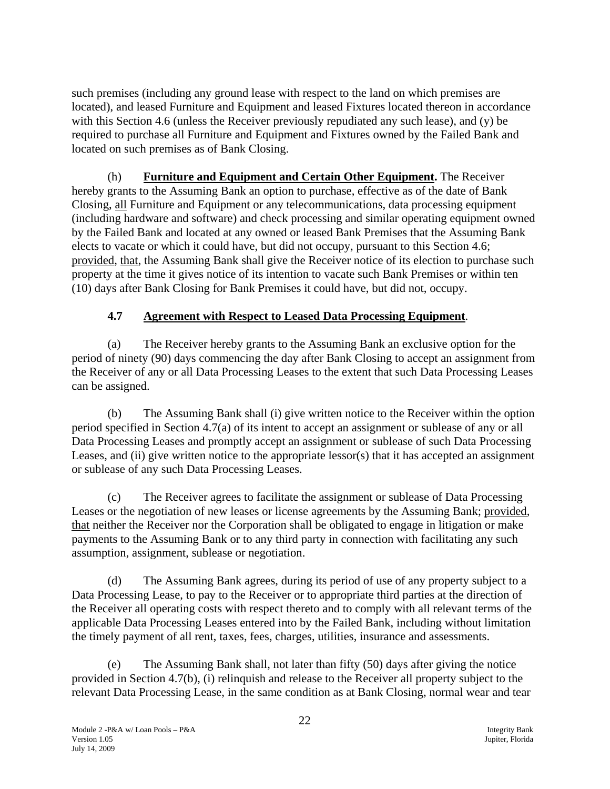<span id="page-25-0"></span>such premises (including any ground lease with respect to the land on which premises are located), and leased Furniture and Equipment and leased Fixtures located thereon in accordance with this Section 4.6 (unless the Receiver previously repudiated any such lease), and (y) be required to purchase all Furniture and Equipment and Fixtures owned by the Failed Bank and located on such premises as of Bank Closing.

(h) **Furniture and Equipment and Certain Other Equipment.** The Receiver hereby grants to the Assuming Bank an option to purchase, effective as of the date of Bank Closing, all Furniture and Equipment or any telecommunications, data processing equipment (including hardware and software) and check processing and similar operating equipment owned by the Failed Bank and located at any owned or leased Bank Premises that the Assuming Bank elects to vacate or which it could have, but did not occupy, pursuant to this Section 4.6; provided, that, the Assuming Bank shall give the Receiver notice of its election to purchase such property at the time it gives notice of its intention to vacate such Bank Premises or within ten (10) days after Bank Closing for Bank Premises it could have, but did not, occupy.

## **4.7 Agreement with Respect to Leased Data Processing Equipment**.

(a) The Receiver hereby grants to the Assuming Bank an exclusive option for the period of ninety (90) days commencing the day after Bank Closing to accept an assignment from the Receiver of any or all Data Processing Leases to the extent that such Data Processing Leases can be assigned.

(b) The Assuming Bank shall (i) give written notice to the Receiver within the option period specified in Section 4.7(a) of its intent to accept an assignment or sublease of any or all Data Processing Leases and promptly accept an assignment or sublease of such Data Processing Leases, and (ii) give written notice to the appropriate lessor(s) that it has accepted an assignment or sublease of any such Data Processing Leases.

(c) The Receiver agrees to facilitate the assignment or sublease of Data Processing Leases or the negotiation of new leases or license agreements by the Assuming Bank; provided, that neither the Receiver nor the Corporation shall be obligated to engage in litigation or make payments to the Assuming Bank or to any third party in connection with facilitating any such assumption, assignment, sublease or negotiation.

(d) The Assuming Bank agrees, during its period of use of any property subject to a Data Processing Lease, to pay to the Receiver or to appropriate third parties at the direction of the Receiver all operating costs with respect thereto and to comply with all relevant terms of the applicable Data Processing Leases entered into by the Failed Bank, including without limitation the timely payment of all rent, taxes, fees, charges, utilities, insurance and assessments.

(e) The Assuming Bank shall, not later than fifty (50) days after giving the notice provided in Section 4.7(b), (i) relinquish and release to the Receiver all property subject to the relevant Data Processing Lease, in the same condition as at Bank Closing, normal wear and tear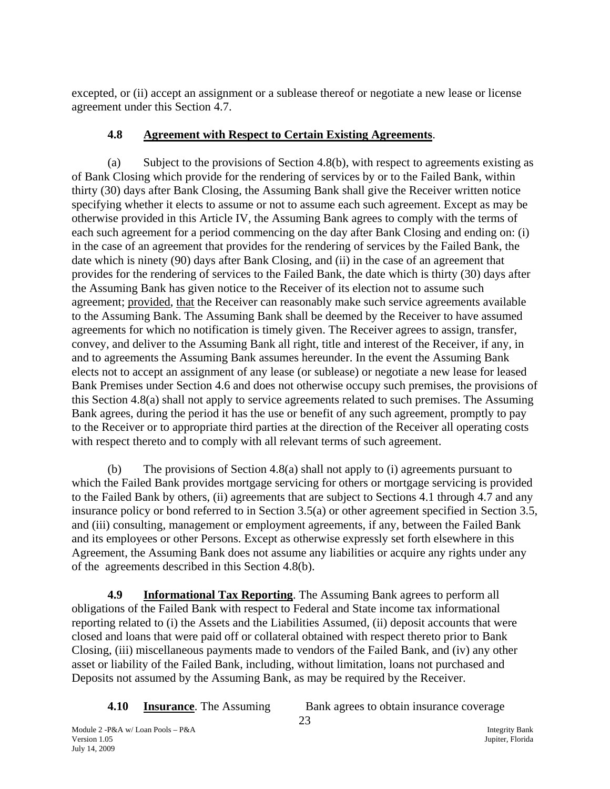<span id="page-26-0"></span>excepted, or (ii) accept an assignment or a sublease thereof or negotiate a new lease or license agreement under this Section 4.7.

## **4.8 Agreement with Respect to Certain Existing Agreements**.

(a) Subject to the provisions of Section 4.8(b), with respect to agreements existing as of Bank Closing which provide for the rendering of services by or to the Failed Bank, within thirty (30) days after Bank Closing, the Assuming Bank shall give the Receiver written notice specifying whether it elects to assume or not to assume each such agreement. Except as may be otherwise provided in this Article IV, the Assuming Bank agrees to comply with the terms of each such agreement for a period commencing on the day after Bank Closing and ending on: (i) in the case of an agreement that provides for the rendering of services by the Failed Bank, the date which is ninety (90) days after Bank Closing, and (ii) in the case of an agreement that provides for the rendering of services to the Failed Bank, the date which is thirty (30) days after the Assuming Bank has given notice to the Receiver of its election not to assume such agreement; provided, that the Receiver can reasonably make such service agreements available to the Assuming Bank. The Assuming Bank shall be deemed by the Receiver to have assumed agreements for which no notification is timely given. The Receiver agrees to assign, transfer, convey, and deliver to the Assuming Bank all right, title and interest of the Receiver, if any, in and to agreements the Assuming Bank assumes hereunder. In the event the Assuming Bank elects not to accept an assignment of any lease (or sublease) or negotiate a new lease for leased Bank Premises under Section 4.6 and does not otherwise occupy such premises, the provisions of this Section 4.8(a) shall not apply to service agreements related to such premises. The Assuming Bank agrees, during the period it has the use or benefit of any such agreement, promptly to pay to the Receiver or to appropriate third parties at the direction of the Receiver all operating costs with respect thereto and to comply with all relevant terms of such agreement.

(b) The provisions of Section 4.8(a) shall not apply to (i) agreements pursuant to which the Failed Bank provides mortgage servicing for others or mortgage servicing is provided to the Failed Bank by others, (ii) agreements that are subject to Sections 4.1 through 4.7 and any insurance policy or bond referred to in Section 3.5(a) or other agreement specified in Section 3.5, and (iii) consulting, management or employment agreements, if any, between the Failed Bank and its employees or other Persons. Except as otherwise expressly set forth elsewhere in this Agreement, the Assuming Bank does not assume any liabilities or acquire any rights under any of the agreements described in this Section 4.8(b).

**4.9** Informational Tax Reporting. The Assuming Bank agrees to perform all obligations of the Failed Bank with respect to Federal and State income tax informational reporting related to (i) the Assets and the Liabilities Assumed, (ii) deposit accounts that were closed and loans that were paid off or collateral obtained with respect thereto prior to Bank Closing, (iii) miscellaneous payments made to vendors of the Failed Bank, and (iv) any other asset or liability of the Failed Bank, including, without limitation, loans not purchased and Deposits not assumed by the Assuming Bank, as may be required by the Receiver.

**4.10 Insurance**. The Assuming Bank agrees to obtain insurance coverage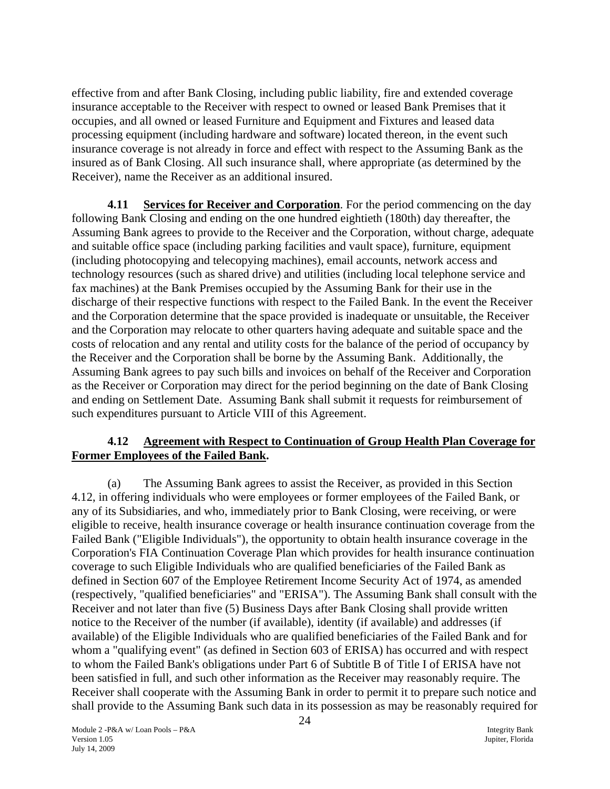<span id="page-27-1"></span><span id="page-27-0"></span>effective from and after Bank Closing, including public liability, fire and extended coverage insurance acceptable to the Receiver with respect to owned or leased Bank Premises that it occupies, and all owned or leased Furniture and Equipment and Fixtures and leased data processing equipment (including hardware and software) located thereon, in the event such insurance coverage is not already in force and effect with respect to the Assuming Bank as the insured as of Bank Closing. All such insurance shall, where appropriate (as determined by the Receiver), name the Receiver as an additional insured.

**4.11 Services for Receiver and Corporation**. For the period commencing on the day following Bank Closing and ending on the one hundred eightieth (180th) day thereafter, the Assuming Bank agrees to provide to the Receiver and the Corporation, without charge, adequate and suitable office space (including parking facilities and vault space), furniture, equipment (including photocopying and telecopying machines), email accounts, network access and technology resources (such as shared drive) and utilities (including local telephone service and fax machines) at the Bank Premises occupied by the Assuming Bank for their use in the discharge of their respective functions with respect to the Failed Bank. In the event the Receiver and the Corporation determine that the space provided is inadequate or unsuitable, the Receiver and the Corporation may relocate to other quarters having adequate and suitable space and the costs of relocation and any rental and utility costs for the balance of the period of occupancy by the Receiver and the Corporation shall be borne by the Assuming Bank. Additionally, the Assuming Bank agrees to pay such bills and invoices on behalf of the Receiver and Corporation as the Receiver or Corporation may direct for the period beginning on the date of Bank Closing and ending on Settlement Date. Assuming Bank shall submit it requests for reimbursement of such expenditures pursuant to Article VIII of this Agreement.

### **4.12 Agreement with Respect to Continuation of Group Health Plan Coverage for Former Employees of the Failed Bank.**

(a) The Assuming Bank agrees to assist the Receiver, as provided in this Section 4.12, in offering individuals who were employees or former employees of the Failed Bank, or any of its Subsidiaries, and who, immediately prior to Bank Closing, were receiving, or were eligible to receive, health insurance coverage or health insurance continuation coverage from the Failed Bank ("Eligible Individuals"), the opportunity to obtain health insurance coverage in the Corporation's FIA Continuation Coverage Plan which provides for health insurance continuation coverage to such Eligible Individuals who are qualified beneficiaries of the Failed Bank as defined in Section 607 of the Employee Retirement Income Security Act of 1974, as amended (respectively, "qualified beneficiaries" and "ERISA"). The Assuming Bank shall consult with the Receiver and not later than five (5) Business Days after Bank Closing shall provide written notice to the Receiver of the number (if available), identity (if available) and addresses (if available) of the Eligible Individuals who are qualified beneficiaries of the Failed Bank and for whom a "qualifying event" (as defined in Section 603 of ERISA) has occurred and with respect to whom the Failed Bank's obligations under Part 6 of Subtitle B of Title I of ERISA have not been satisfied in full, and such other information as the Receiver may reasonably require. The Receiver shall cooperate with the Assuming Bank in order to permit it to prepare such notice and shall provide to the Assuming Bank such data in its possession as may be reasonably required for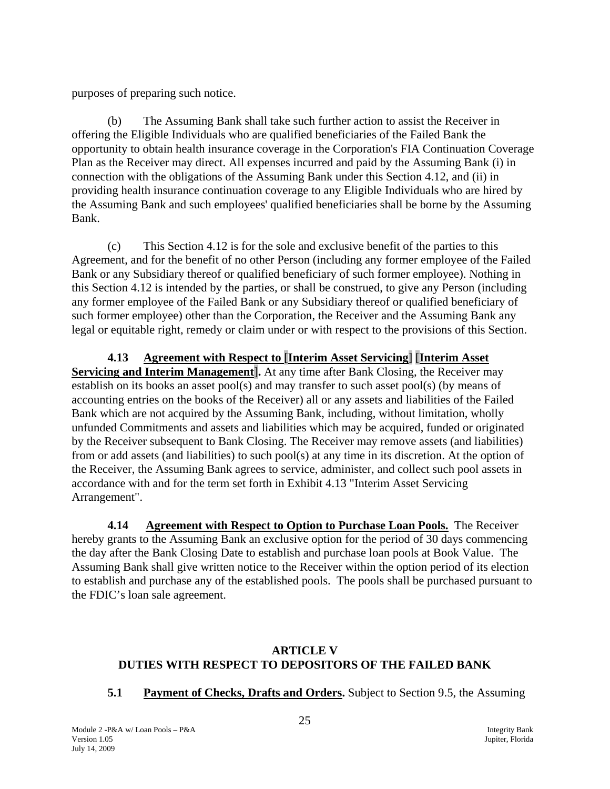<span id="page-28-1"></span><span id="page-28-0"></span>purposes of preparing such notice.

(b) The Assuming Bank shall take such further action to assist the Receiver in offering the Eligible Individuals who are qualified beneficiaries of the Failed Bank the opportunity to obtain health insurance coverage in the Corporation's FIA Continuation Coverage Plan as the Receiver may direct. All expenses incurred and paid by the Assuming Bank (i) in connection with the obligations of the Assuming Bank under this Section 4.12, and (ii) in providing health insurance continuation coverage to any Eligible Individuals who are hired by the Assuming Bank and such employees' qualified beneficiaries shall be borne by the Assuming Bank.

(c) This Section 4.12 is for the sole and exclusive benefit of the parties to this Agreement, and for the benefit of no other Person (including any former employee of the Failed Bank or any Subsidiary thereof or qualified beneficiary of such former employee). Nothing in this Section 4.12 is intended by the parties, or shall be construed, to give any Person (including any former employee of the Failed Bank or any Subsidiary thereof or qualified beneficiary of such former employee) other than the Corporation, the Receiver and the Assuming Bank any legal or equitable right, remedy or claim under or with respect to the provisions of this Section.

**4.13 Agreement with Respect to** [**Interim Asset Servicing**] [**Interim Asset Servicing and Interim Management**]. At any time after Bank Closing, the Receiver may establish on its books an asset pool(s) and may transfer to such asset pool(s) (by means of accounting entries on the books of the Receiver) all or any assets and liabilities of the Failed Bank which are not acquired by the Assuming Bank, including, without limitation, wholly unfunded Commitments and assets and liabilities which may be acquired, funded or originated by the Receiver subsequent to Bank Closing. The Receiver may remove assets (and liabilities) from or add assets (and liabilities) to such pool(s) at any time in its discretion. At the option of the Receiver, the Assuming Bank agrees to service, administer, and collect such pool assets in accordance with and for the term set forth in Exhibit 4.13 "Interim Asset Servicing Arrangement".

 **Agreement with Respect to Option to Purchase Loan Pools.** The Receiver hereby grants to the Assuming Bank an exclusive option for the period of 30 days commencing the day after the Bank Closing Date to establish and purchase loan pools at Book Value. The Assuming Bank shall give written notice to the Receiver within the option period of its election to establish and purchase any of the established pools. The pools shall be purchased pursuant to the FDIC's loan sale agreement.

## **ARTICLE V DUTIES WITH RESPECT TO DEPOSITORS OF THE FAILED BANK**

## **5.1 Payment of Checks, Drafts and Orders.** Subject to Section 9.5, the Assuming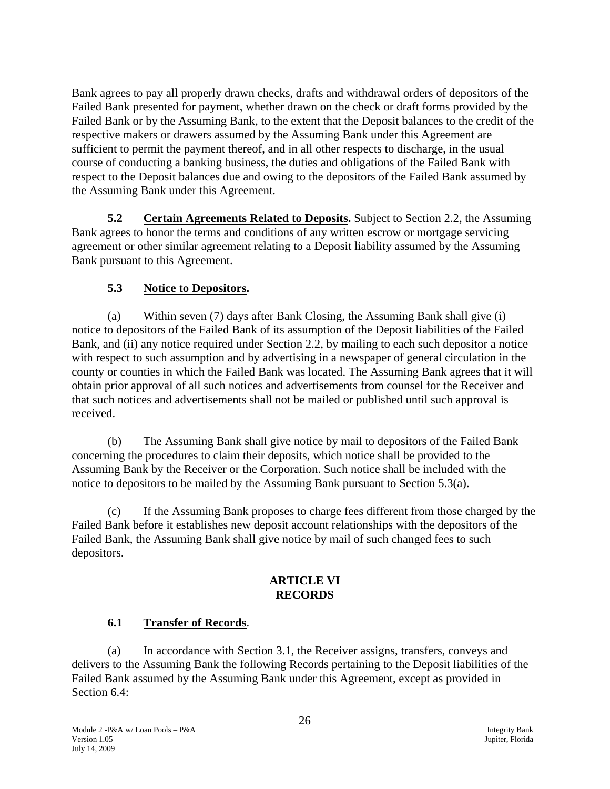<span id="page-29-0"></span>Bank agrees to pay all properly drawn checks, drafts and withdrawal orders of depositors of the Failed Bank presented for payment, whether drawn on the check or draft forms provided by the Failed Bank or by the Assuming Bank, to the extent that the Deposit balances to the credit of the respective makers or drawers assumed by the Assuming Bank under this Agreement are sufficient to permit the payment thereof, and in all other respects to discharge, in the usual course of conducting a banking business, the duties and obligations of the Failed Bank with respect to the Deposit balances due and owing to the depositors of the Failed Bank assumed by the Assuming Bank under this Agreement.

**5.2** Certain Agreements Related to Deposits. Subject to Section 2.2, the Assuming Bank agrees to honor the terms and conditions of any written escrow or mortgage servicing agreement or other similar agreement relating to a Deposit liability assumed by the Assuming Bank pursuant to this Agreement.

## **5.3 Notice to Depositors.**

(a) Within seven (7) days after Bank Closing, the Assuming Bank shall give (i) notice to depositors of the Failed Bank of its assumption of the Deposit liabilities of the Failed Bank, and (ii) any notice required under Section 2.2, by mailing to each such depositor a notice with respect to such assumption and by advertising in a newspaper of general circulation in the county or counties in which the Failed Bank was located. The Assuming Bank agrees that it will obtain prior approval of all such notices and advertisements from counsel for the Receiver and that such notices and advertisements shall not be mailed or published until such approval is received.

(b) The Assuming Bank shall give notice by mail to depositors of the Failed Bank concerning the procedures to claim their deposits, which notice shall be provided to the Assuming Bank by the Receiver or the Corporation. Such notice shall be included with the notice to depositors to be mailed by the Assuming Bank pursuant to Section 5.3(a).

(c) If the Assuming Bank proposes to charge fees different from those charged by the Failed Bank before it establishes new deposit account relationships with the depositors of the Failed Bank, the Assuming Bank shall give notice by mail of such changed fees to such depositors.

### **ARTICLE VI RECORDS**

### **6.1 Transfer of Records**.

(a) In accordance with Section 3.1, the Receiver assigns, transfers, conveys and delivers to the Assuming Bank the following Records pertaining to the Deposit liabilities of the Failed Bank assumed by the Assuming Bank under this Agreement, except as provided in Section 6.4: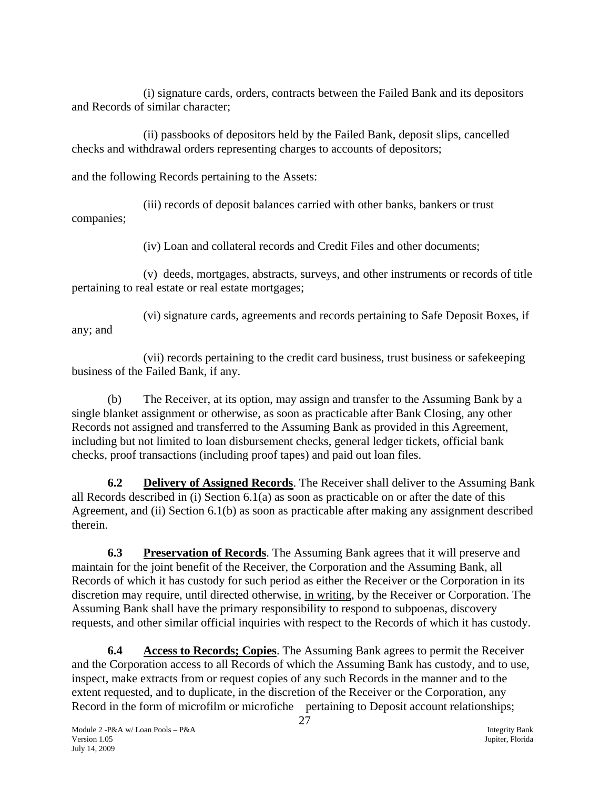<span id="page-30-0"></span>(i) signature cards, orders, contracts between the Failed Bank and its depositors and Records of similar character;

(ii) passbooks of depositors held by the Failed Bank, deposit slips, cancelled checks and withdrawal orders representing charges to accounts of depositors;

and the following Records pertaining to the Assets:

(iii) records of deposit balances carried with other banks, bankers or trust companies;

(iv) Loan and collateral records and Credit Files and other documents;

(v) deeds, mortgages, abstracts, surveys, and other instruments or records of title pertaining to real estate or real estate mortgages;

(vi) signature cards, agreements and records pertaining to Safe Deposit Boxes, if any; and

(vii) records pertaining to the credit card business, trust business or safekeeping business of the Failed Bank, if any.

(b) The Receiver, at its option, may assign and transfer to the Assuming Bank by a single blanket assignment or otherwise, as soon as practicable after Bank Closing, any other Records not assigned and transferred to the Assuming Bank as provided in this Agreement, including but not limited to loan disbursement checks, general ledger tickets, official bank checks, proof transactions (including proof tapes) and paid out loan files.

**6.2 Delivery of Assigned Records**. The Receiver shall deliver to the Assuming Bank all Records described in (i) Section 6.1(a) as soon as practicable on or after the date of this Agreement, and (ii) Section 6.1(b) as soon as practicable after making any assignment described therein.

**6.3 Preservation of Records**. The Assuming Bank agrees that it will preserve and maintain for the joint benefit of the Receiver, the Corporation and the Assuming Bank, all Records of which it has custody for such period as either the Receiver or the Corporation in its discretion may require, until directed otherwise, in writing, by the Receiver or Corporation. The Assuming Bank shall have the primary responsibility to respond to subpoenas, discovery requests, and other similar official inquiries with respect to the Records of which it has custody.

**6.4** Access to Records; Copies. The Assuming Bank agrees to permit the Receiver and the Corporation access to all Records of which the Assuming Bank has custody, and to use, inspect, make extracts from or request copies of any such Records in the manner and to the extent requested, and to duplicate, in the discretion of the Receiver or the Corporation, any Record in the form of microfilm or microfiche pertaining to Deposit account relationships;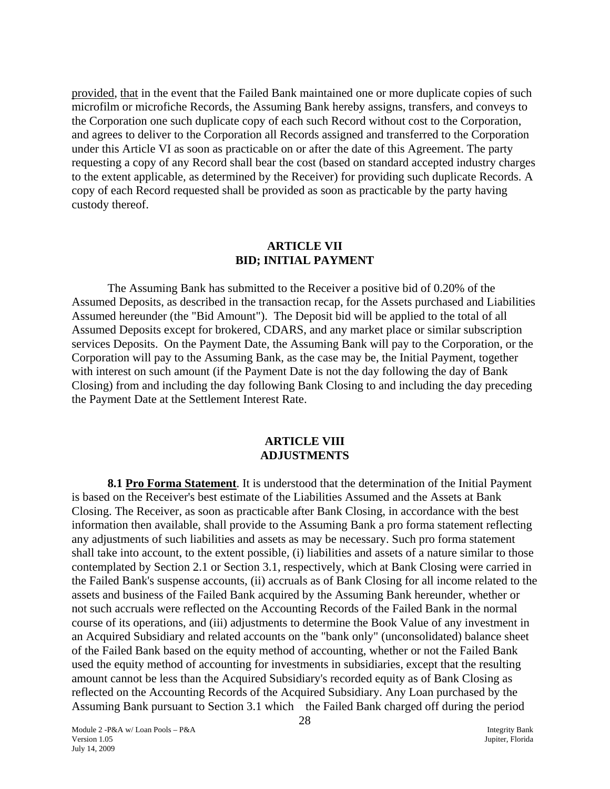<span id="page-31-0"></span>provided, that in the event that the Failed Bank maintained one or more duplicate copies of such microfilm or microfiche Records, the Assuming Bank hereby assigns, transfers, and conveys to the Corporation one such duplicate copy of each such Record without cost to the Corporation, and agrees to deliver to the Corporation all Records assigned and transferred to the Corporation under this Article VI as soon as practicable on or after the date of this Agreement. The party requesting a copy of any Record shall bear the cost (based on standard accepted industry charges to the extent applicable, as determined by the Receiver) for providing such duplicate Records. A copy of each Record requested shall be provided as soon as practicable by the party having custody thereof.

#### **ARTICLE VII BID; INITIAL PAYMENT**

The Assuming Bank has submitted to the Receiver a positive bid of 0.20% of the Assumed Deposits, as described in the transaction recap, for the Assets purchased and Liabilities Assumed hereunder (the "Bid Amount"). The Deposit bid will be applied to the total of all Assumed Deposits except for brokered, CDARS, and any market place or similar subscription services Deposits. On the Payment Date, the Assuming Bank will pay to the Corporation, or the Corporation will pay to the Assuming Bank, as the case may be, the Initial Payment, together with interest on such amount (if the Payment Date is not the day following the day of Bank Closing) from and including the day following Bank Closing to and including the day preceding the Payment Date at the Settlement Interest Rate.

#### **ARTICLE VIII ADJUSTMENTS**

**8.1 Pro Forma Statement**. It is understood that the determination of the Initial Payment is based on the Receiver's best estimate of the Liabilities Assumed and the Assets at Bank Closing. The Receiver, as soon as practicable after Bank Closing, in accordance with the best information then available, shall provide to the Assuming Bank a pro forma statement reflecting any adjustments of such liabilities and assets as may be necessary. Such pro forma statement shall take into account, to the extent possible, (i) liabilities and assets of a nature similar to those contemplated by Section 2.1 or Section 3.1, respectively, which at Bank Closing were carried in the Failed Bank's suspense accounts, (ii) accruals as of Bank Closing for all income related to the assets and business of the Failed Bank acquired by the Assuming Bank hereunder, whether or not such accruals were reflected on the Accounting Records of the Failed Bank in the normal course of its operations, and (iii) adjustments to determine the Book Value of any investment in an Acquired Subsidiary and related accounts on the "bank only" (unconsolidated) balance sheet of the Failed Bank based on the equity method of accounting, whether or not the Failed Bank used the equity method of accounting for investments in subsidiaries, except that the resulting amount cannot be less than the Acquired Subsidiary's recorded equity as of Bank Closing as reflected on the Accounting Records of the Acquired Subsidiary. Any Loan purchased by the Assuming Bank pursuant to Section 3.1 which the Failed Bank charged off during the period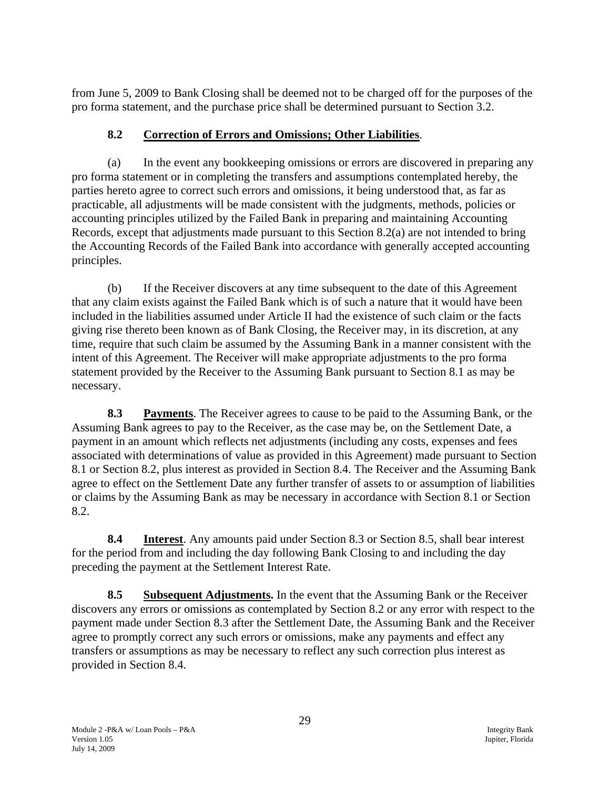<span id="page-32-0"></span>from June 5, 2009 to Bank Closing shall be deemed not to be charged off for the purposes of the pro forma statement, and the purchase price shall be determined pursuant to Section 3.2.

## **8.2 Correction of Errors and Omissions; Other Liabilities**.

(a) In the event any bookkeeping omissions or errors are discovered in preparing any pro forma statement or in completing the transfers and assumptions contemplated hereby, the parties hereto agree to correct such errors and omissions, it being understood that, as far as practicable, all adjustments will be made consistent with the judgments, methods, policies or accounting principles utilized by the Failed Bank in preparing and maintaining Accounting Records, except that adjustments made pursuant to this Section 8.2(a) are not intended to bring the Accounting Records of the Failed Bank into accordance with generally accepted accounting principles.

(b) If the Receiver discovers at any time subsequent to the date of this Agreement that any claim exists against the Failed Bank which is of such a nature that it would have been included in the liabilities assumed under Article II had the existence of such claim or the facts giving rise thereto been known as of Bank Closing, the Receiver may, in its discretion, at any time, require that such claim be assumed by the Assuming Bank in a manner consistent with the intent of this Agreement. The Receiver will make appropriate adjustments to the pro forma statement provided by the Receiver to the Assuming Bank pursuant to Section 8.1 as may be necessary.

**8.3 Payments**. The Receiver agrees to cause to be paid to the Assuming Bank, or the Assuming Bank agrees to pay to the Receiver, as the case may be, on the Settlement Date, a payment in an amount which reflects net adjustments (including any costs, expenses and fees associated with determinations of value as provided in this Agreement) made pursuant to Section 8.1 or Section 8.2, plus interest as provided in Section 8.4. The Receiver and the Assuming Bank agree to effect on the Settlement Date any further transfer of assets to or assumption of liabilities or claims by the Assuming Bank as may be necessary in accordance with Section 8.1 or Section 8.2.

**8.4 Interest**. Any amounts paid under Section 8.3 or Section 8.5, shall bear interest for the period from and including the day following Bank Closing to and including the day preceding the payment at the Settlement Interest Rate.

**8.5** Subsequent Adjustments. In the event that the Assuming Bank or the Receiver discovers any errors or omissions as contemplated by Section 8.2 or any error with respect to the payment made under Section 8.3 after the Settlement Date, the Assuming Bank and the Receiver agree to promptly correct any such errors or omissions, make any payments and effect any transfers or assumptions as may be necessary to reflect any such correction plus interest as provided in Section 8.4.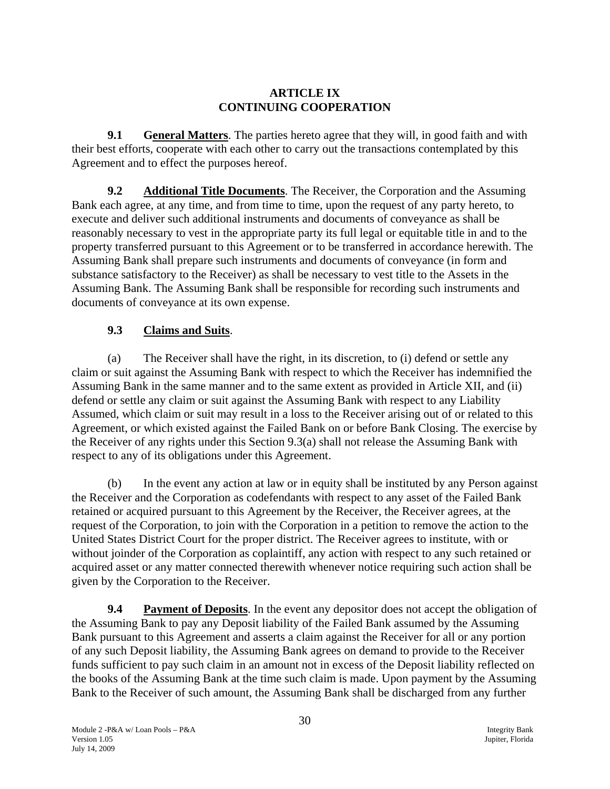### **ARTICLE IX CONTINUING COOPERATION**

<span id="page-33-0"></span>**9.1** General Matters. The parties hereto agree that they will, in good faith and with their best efforts, cooperate with each other to carry out the transactions contemplated by this Agreement and to effect the purposes hereof.

**9.2** Additional Title Documents. The Receiver, the Corporation and the Assuming Bank each agree, at any time, and from time to time, upon the request of any party hereto, to execute and deliver such additional instruments and documents of conveyance as shall be reasonably necessary to vest in the appropriate party its full legal or equitable title in and to the property transferred pursuant to this Agreement or to be transferred in accordance herewith. The Assuming Bank shall prepare such instruments and documents of conveyance (in form and substance satisfactory to the Receiver) as shall be necessary to vest title to the Assets in the Assuming Bank. The Assuming Bank shall be responsible for recording such instruments and documents of conveyance at its own expense.

## **9.3 Claims and Suits**.

(a) The Receiver shall have the right, in its discretion, to (i) defend or settle any claim or suit against the Assuming Bank with respect to which the Receiver has indemnified the Assuming Bank in the same manner and to the same extent as provided in Article XII, and (ii) defend or settle any claim or suit against the Assuming Bank with respect to any Liability Assumed, which claim or suit may result in a loss to the Receiver arising out of or related to this Agreement, or which existed against the Failed Bank on or before Bank Closing. The exercise by the Receiver of any rights under this Section 9.3(a) shall not release the Assuming Bank with respect to any of its obligations under this Agreement.

(b) In the event any action at law or in equity shall be instituted by any Person against the Receiver and the Corporation as codefendants with respect to any asset of the Failed Bank retained or acquired pursuant to this Agreement by the Receiver, the Receiver agrees, at the request of the Corporation, to join with the Corporation in a petition to remove the action to the United States District Court for the proper district. The Receiver agrees to institute, with or without joinder of the Corporation as coplaintiff, any action with respect to any such retained or acquired asset or any matter connected therewith whenever notice requiring such action shall be given by the Corporation to the Receiver.

**9.4 Payment of Deposits**. In the event any depositor does not accept the obligation of the Assuming Bank to pay any Deposit liability of the Failed Bank assumed by the Assuming Bank pursuant to this Agreement and asserts a claim against the Receiver for all or any portion of any such Deposit liability, the Assuming Bank agrees on demand to provide to the Receiver funds sufficient to pay such claim in an amount not in excess of the Deposit liability reflected on the books of the Assuming Bank at the time such claim is made. Upon payment by the Assuming Bank to the Receiver of such amount, the Assuming Bank shall be discharged from any further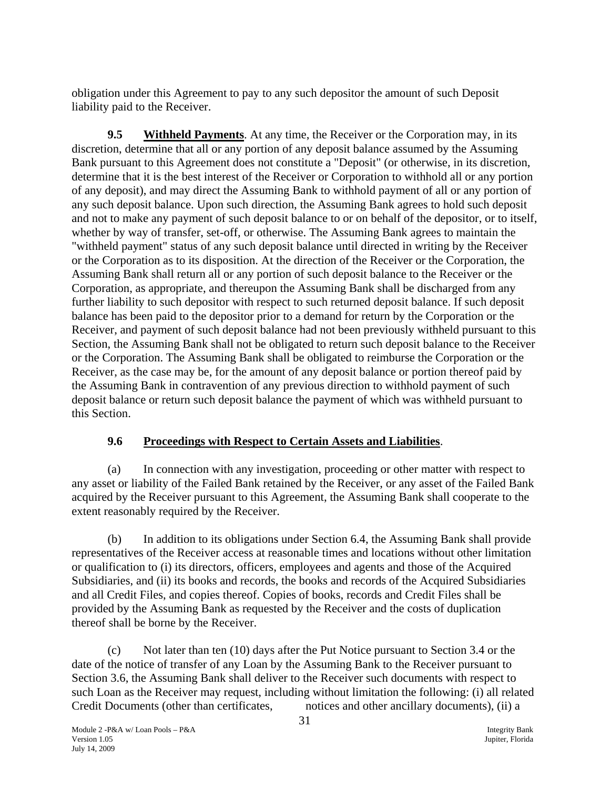<span id="page-34-0"></span>obligation under this Agreement to pay to any such depositor the amount of such Deposit liability paid to the Receiver.

**9.5 Withheld Payments**. At any time, the Receiver or the Corporation may, in its discretion, determine that all or any portion of any deposit balance assumed by the Assuming Bank pursuant to this Agreement does not constitute a "Deposit" (or otherwise, in its discretion, determine that it is the best interest of the Receiver or Corporation to withhold all or any portion of any deposit), and may direct the Assuming Bank to withhold payment of all or any portion of any such deposit balance. Upon such direction, the Assuming Bank agrees to hold such deposit and not to make any payment of such deposit balance to or on behalf of the depositor, or to itself, whether by way of transfer, set-off, or otherwise. The Assuming Bank agrees to maintain the "withheld payment" status of any such deposit balance until directed in writing by the Receiver or the Corporation as to its disposition. At the direction of the Receiver or the Corporation, the Assuming Bank shall return all or any portion of such deposit balance to the Receiver or the Corporation, as appropriate, and thereupon the Assuming Bank shall be discharged from any further liability to such depositor with respect to such returned deposit balance. If such deposit balance has been paid to the depositor prior to a demand for return by the Corporation or the Receiver, and payment of such deposit balance had not been previously withheld pursuant to this Section, the Assuming Bank shall not be obligated to return such deposit balance to the Receiver or the Corporation. The Assuming Bank shall be obligated to reimburse the Corporation or the Receiver, as the case may be, for the amount of any deposit balance or portion thereof paid by the Assuming Bank in contravention of any previous direction to withhold payment of such deposit balance or return such deposit balance the payment of which was withheld pursuant to this Section.

## **9.6 Proceedings with Respect to Certain Assets and Liabilities**.

(a) In connection with any investigation, proceeding or other matter with respect to any asset or liability of the Failed Bank retained by the Receiver, or any asset of the Failed Bank acquired by the Receiver pursuant to this Agreement, the Assuming Bank shall cooperate to the extent reasonably required by the Receiver.

(b) In addition to its obligations under Section 6.4, the Assuming Bank shall provide representatives of the Receiver access at reasonable times and locations without other limitation or qualification to (i) its directors, officers, employees and agents and those of the Acquired Subsidiaries, and (ii) its books and records, the books and records of the Acquired Subsidiaries and all Credit Files, and copies thereof. Copies of books, records and Credit Files shall be provided by the Assuming Bank as requested by the Receiver and the costs of duplication thereof shall be borne by the Receiver.

(c) Not later than ten (10) days after the Put Notice pursuant to Section 3.4 or the date of the notice of transfer of any Loan by the Assuming Bank to the Receiver pursuant to Section 3.6, the Assuming Bank shall deliver to the Receiver such documents with respect to such Loan as the Receiver may request, including without limitation the following: (i) all related Credit Documents (other than certificates, notices and other ancillary documents), (ii) a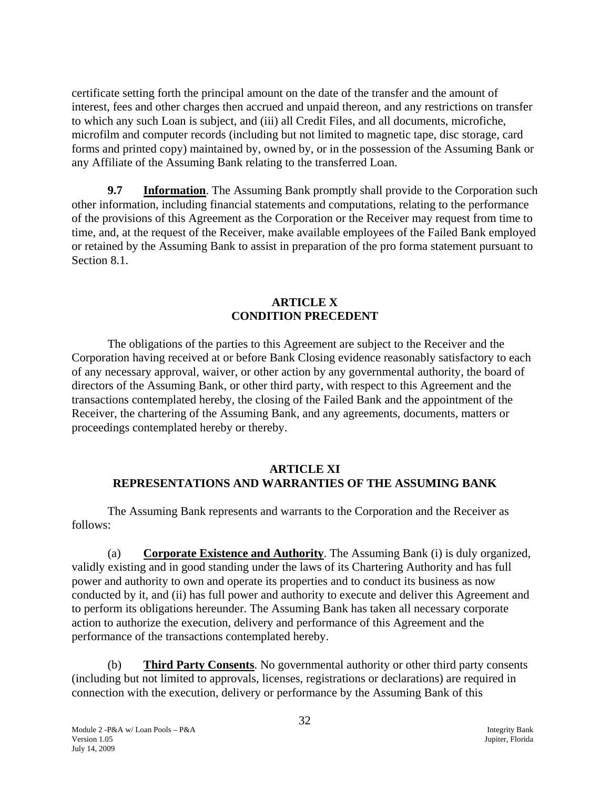<span id="page-35-0"></span>certificate setting forth the principal amount on the date of the transfer and the amount of interest, fees and other charges then accrued and unpaid thereon, and any restrictions on transfer to which any such Loan is subject, and (iii) all Credit Files, and all documents, microfiche, microfilm and computer records (including but not limited to magnetic tape, disc storage, card forms and printed copy) maintained by, owned by, or in the possession of the Assuming Bank or any Affiliate of the Assuming Bank relating to the transferred Loan.

**9.7** Information. The Assuming Bank promptly shall provide to the Corporation such other information, including financial statements and computations, relating to the performance of the provisions of this Agreement as the Corporation or the Receiver may request from time to time, and, at the request of the Receiver, make available employees of the Failed Bank employed or retained by the Assuming Bank to assist in preparation of the pro forma statement pursuant to Section 8.1.

### **ARTICLE X CONDITION PRECEDENT**

The obligations of the parties to this Agreement are subject to the Receiver and the Corporation having received at or before Bank Closing evidence reasonably satisfactory to each of any necessary approval, waiver, or other action by any governmental authority, the board of directors of the Assuming Bank, or other third party, with respect to this Agreement and the transactions contemplated hereby, the closing of the Failed Bank and the appointment of the Receiver, the chartering of the Assuming Bank, and any agreements, documents, matters or proceedings contemplated hereby or thereby.

### **ARTICLE XI REPRESENTATIONS AND WARRANTIES OF THE ASSUMING BANK**

The Assuming Bank represents and warrants to the Corporation and the Receiver as follows:

(a) **Corporate Existence and Authority**. The Assuming Bank (i) is duly organized, validly existing and in good standing under the laws of its Chartering Authority and has full power and authority to own and operate its properties and to conduct its business as now conducted by it, and (ii) has full power and authority to execute and deliver this Agreement and to perform its obligations hereunder. The Assuming Bank has taken all necessary corporate action to authorize the execution, delivery and performance of this Agreement and the performance of the transactions contemplated hereby.

(b) **Third Party Consents**. No governmental authority or other third party consents (including but not limited to approvals, licenses, registrations or declarations) are required in connection with the execution, delivery or performance by the Assuming Bank of this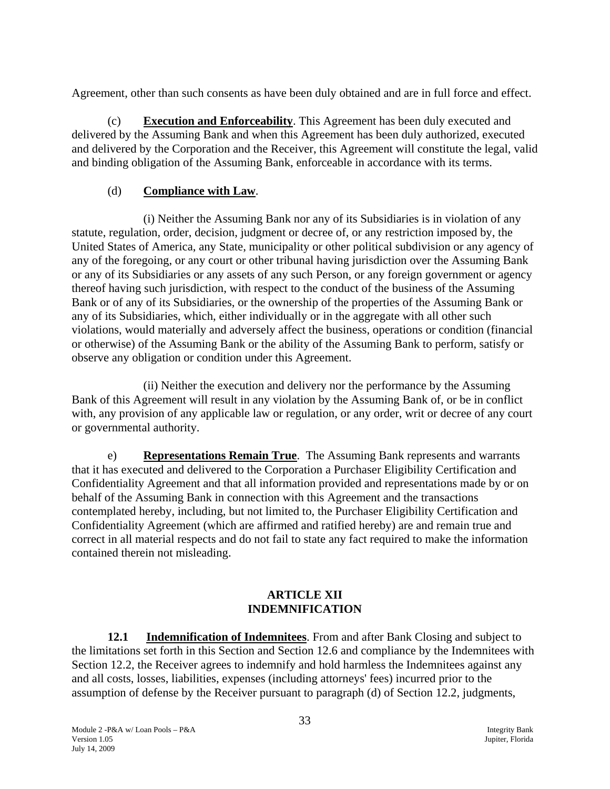<span id="page-36-0"></span>Agreement, other than such consents as have been duly obtained and are in full force and effect.

(c) **Execution and Enforceability**. This Agreement has been duly executed and delivered by the Assuming Bank and when this Agreement has been duly authorized, executed and delivered by the Corporation and the Receiver, this Agreement will constitute the legal, valid and binding obligation of the Assuming Bank, enforceable in accordance with its terms.

## (d) **Compliance with Law**.

(i) Neither the Assuming Bank nor any of its Subsidiaries is in violation of any statute, regulation, order, decision, judgment or decree of, or any restriction imposed by, the United States of America, any State, municipality or other political subdivision or any agency of any of the foregoing, or any court or other tribunal having jurisdiction over the Assuming Bank or any of its Subsidiaries or any assets of any such Person, or any foreign government or agency thereof having such jurisdiction, with respect to the conduct of the business of the Assuming Bank or of any of its Subsidiaries, or the ownership of the properties of the Assuming Bank or any of its Subsidiaries, which, either individually or in the aggregate with all other such violations, would materially and adversely affect the business, operations or condition (financial or otherwise) of the Assuming Bank or the ability of the Assuming Bank to perform, satisfy or observe any obligation or condition under this Agreement.

(ii) Neither the execution and delivery nor the performance by the Assuming Bank of this Agreement will result in any violation by the Assuming Bank of, or be in conflict with, any provision of any applicable law or regulation, or any order, writ or decree of any court or governmental authority.

e) **Representations Remain True**. The Assuming Bank represents and warrants that it has executed and delivered to the Corporation a Purchaser Eligibility Certification and Confidentiality Agreement and that all information provided and representations made by or on behalf of the Assuming Bank in connection with this Agreement and the transactions contemplated hereby, including, but not limited to, the Purchaser Eligibility Certification and Confidentiality Agreement (which are affirmed and ratified hereby) are and remain true and correct in all material respects and do not fail to state any fact required to make the information contained therein not misleading.

### **ARTICLE XII INDEMNIFICATION**

**12.1 Indemnification of Indemnitees**. From and after Bank Closing and subject to the limitations set forth in this Section and Section 12.6 and compliance by the Indemnitees with Section 12.2, the Receiver agrees to indemnify and hold harmless the Indemnitees against any and all costs, losses, liabilities, expenses (including attorneys' fees) incurred prior to the assumption of defense by the Receiver pursuant to paragraph (d) of Section 12.2, judgments,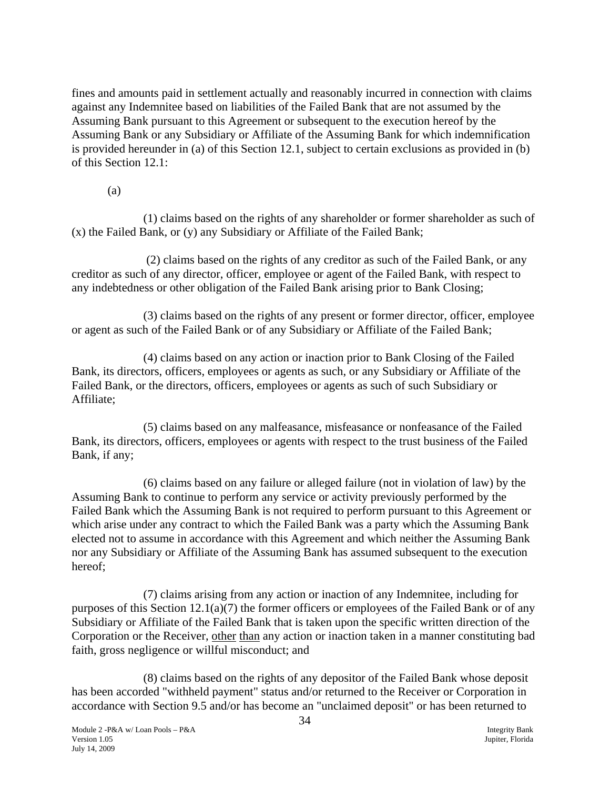fines and amounts paid in settlement actually and reasonably incurred in connection with claims against any Indemnitee based on liabilities of the Failed Bank that are not assumed by the Assuming Bank pursuant to this Agreement or subsequent to the execution hereof by the Assuming Bank or any Subsidiary or Affiliate of the Assuming Bank for which indemnification is provided hereunder in (a) of this Section 12.1, subject to certain exclusions as provided in (b) of this Section 12.1:

(a)

(1) claims based on the rights of any shareholder or former shareholder as such of (x) the Failed Bank, or (y) any Subsidiary or Affiliate of the Failed Bank;

(2) claims based on the rights of any creditor as such of the Failed Bank, or any creditor as such of any director, officer, employee or agent of the Failed Bank, with respect to any indebtedness or other obligation of the Failed Bank arising prior to Bank Closing;

(3) claims based on the rights of any present or former director, officer, employee or agent as such of the Failed Bank or of any Subsidiary or Affiliate of the Failed Bank;

(4) claims based on any action or inaction prior to Bank Closing of the Failed Bank, its directors, officers, employees or agents as such, or any Subsidiary or Affiliate of the Failed Bank, or the directors, officers, employees or agents as such of such Subsidiary or Affiliate;

(5) claims based on any malfeasance, misfeasance or nonfeasance of the Failed Bank, its directors, officers, employees or agents with respect to the trust business of the Failed Bank, if any;

(6) claims based on any failure or alleged failure (not in violation of law) by the Assuming Bank to continue to perform any service or activity previously performed by the Failed Bank which the Assuming Bank is not required to perform pursuant to this Agreement or which arise under any contract to which the Failed Bank was a party which the Assuming Bank elected not to assume in accordance with this Agreement and which neither the Assuming Bank nor any Subsidiary or Affiliate of the Assuming Bank has assumed subsequent to the execution hereof;

(7) claims arising from any action or inaction of any Indemnitee, including for purposes of this Section 12.1(a)(7) the former officers or employees of the Failed Bank or of any Subsidiary or Affiliate of the Failed Bank that is taken upon the specific written direction of the Corporation or the Receiver, other than any action or inaction taken in a manner constituting bad faith, gross negligence or willful misconduct; and

(8) claims based on the rights of any depositor of the Failed Bank whose deposit has been accorded "withheld payment" status and/or returned to the Receiver or Corporation in accordance with Section 9.5 and/or has become an "unclaimed deposit" or has been returned to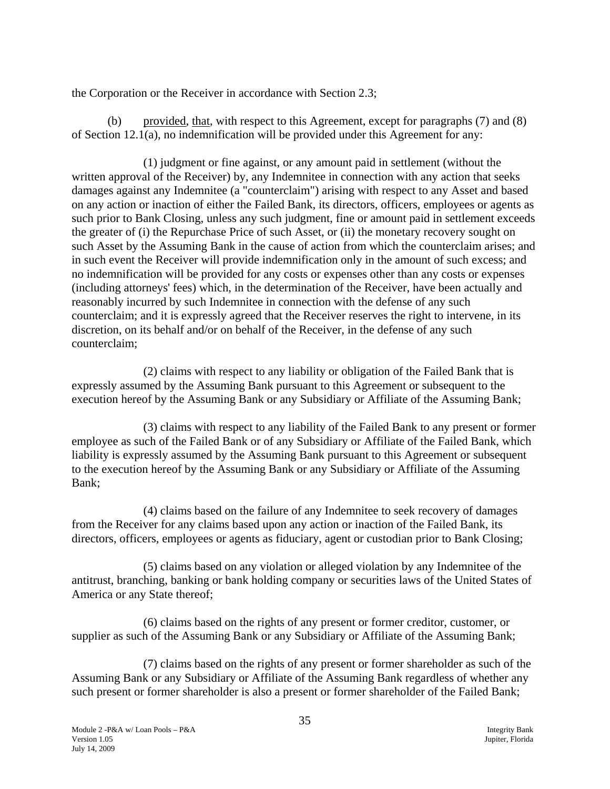the Corporation or the Receiver in accordance with Section 2.3;

(b) provided, that, with respect to this Agreement, except for paragraphs (7) and (8) of Section 12.1(a), no indemnification will be provided under this Agreement for any:

(1) judgment or fine against, or any amount paid in settlement (without the written approval of the Receiver) by, any Indemnitee in connection with any action that seeks damages against any Indemnitee (a "counterclaim") arising with respect to any Asset and based on any action or inaction of either the Failed Bank, its directors, officers, employees or agents as such prior to Bank Closing, unless any such judgment, fine or amount paid in settlement exceeds the greater of (i) the Repurchase Price of such Asset, or (ii) the monetary recovery sought on such Asset by the Assuming Bank in the cause of action from which the counterclaim arises; and in such event the Receiver will provide indemnification only in the amount of such excess; and no indemnification will be provided for any costs or expenses other than any costs or expenses (including attorneys' fees) which, in the determination of the Receiver, have been actually and reasonably incurred by such Indemnitee in connection with the defense of any such counterclaim; and it is expressly agreed that the Receiver reserves the right to intervene, in its discretion, on its behalf and/or on behalf of the Receiver, in the defense of any such counterclaim;

(2) claims with respect to any liability or obligation of the Failed Bank that is expressly assumed by the Assuming Bank pursuant to this Agreement or subsequent to the execution hereof by the Assuming Bank or any Subsidiary or Affiliate of the Assuming Bank;

(3) claims with respect to any liability of the Failed Bank to any present or former employee as such of the Failed Bank or of any Subsidiary or Affiliate of the Failed Bank, which liability is expressly assumed by the Assuming Bank pursuant to this Agreement or subsequent to the execution hereof by the Assuming Bank or any Subsidiary or Affiliate of the Assuming Bank;

(4) claims based on the failure of any Indemnitee to seek recovery of damages from the Receiver for any claims based upon any action or inaction of the Failed Bank, its directors, officers, employees or agents as fiduciary, agent or custodian prior to Bank Closing;

(5) claims based on any violation or alleged violation by any Indemnitee of the antitrust, branching, banking or bank holding company or securities laws of the United States of America or any State thereof;

(6) claims based on the rights of any present or former creditor, customer, or supplier as such of the Assuming Bank or any Subsidiary or Affiliate of the Assuming Bank;

(7) claims based on the rights of any present or former shareholder as such of the Assuming Bank or any Subsidiary or Affiliate of the Assuming Bank regardless of whether any such present or former shareholder is also a present or former shareholder of the Failed Bank;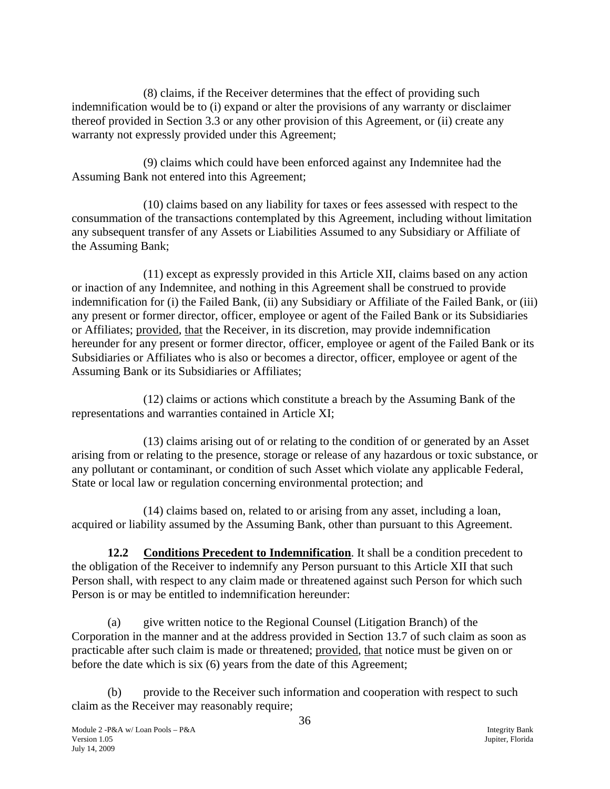<span id="page-39-0"></span>(8) claims, if the Receiver determines that the effect of providing such indemnification would be to (i) expand or alter the provisions of any warranty or disclaimer thereof provided in Section 3.3 or any other provision of this Agreement, or (ii) create any warranty not expressly provided under this Agreement;

(9) claims which could have been enforced against any Indemnitee had the Assuming Bank not entered into this Agreement;

(10) claims based on any liability for taxes or fees assessed with respect to the consummation of the transactions contemplated by this Agreement, including without limitation any subsequent transfer of any Assets or Liabilities Assumed to any Subsidiary or Affiliate of the Assuming Bank;

(11) except as expressly provided in this Article XII, claims based on any action or inaction of any Indemnitee, and nothing in this Agreement shall be construed to provide indemnification for (i) the Failed Bank, (ii) any Subsidiary or Affiliate of the Failed Bank, or (iii) any present or former director, officer, employee or agent of the Failed Bank or its Subsidiaries or Affiliates; provided, that the Receiver, in its discretion, may provide indemnification hereunder for any present or former director, officer, employee or agent of the Failed Bank or its Subsidiaries or Affiliates who is also or becomes a director, officer, employee or agent of the Assuming Bank or its Subsidiaries or Affiliates;

(12) claims or actions which constitute a breach by the Assuming Bank of the representations and warranties contained in Article XI;

(13) claims arising out of or relating to the condition of or generated by an Asset arising from or relating to the presence, storage or release of any hazardous or toxic substance, or any pollutant or contaminant, or condition of such Asset which violate any applicable Federal, State or local law or regulation concerning environmental protection; and

(14) claims based on, related to or arising from any asset, including a loan, acquired or liability assumed by the Assuming Bank, other than pursuant to this Agreement.

**12.2** Conditions Precedent to Indemnification. It shall be a condition precedent to the obligation of the Receiver to indemnify any Person pursuant to this Article XII that such Person shall, with respect to any claim made or threatened against such Person for which such Person is or may be entitled to indemnification hereunder:

(a) give written notice to the Regional Counsel (Litigation Branch) of the Corporation in the manner and at the address provided in Section 13.7 of such claim as soon as practicable after such claim is made or threatened; provided, that notice must be given on or before the date which is six (6) years from the date of this Agreement;

(b) provide to the Receiver such information and cooperation with respect to such claim as the Receiver may reasonably require;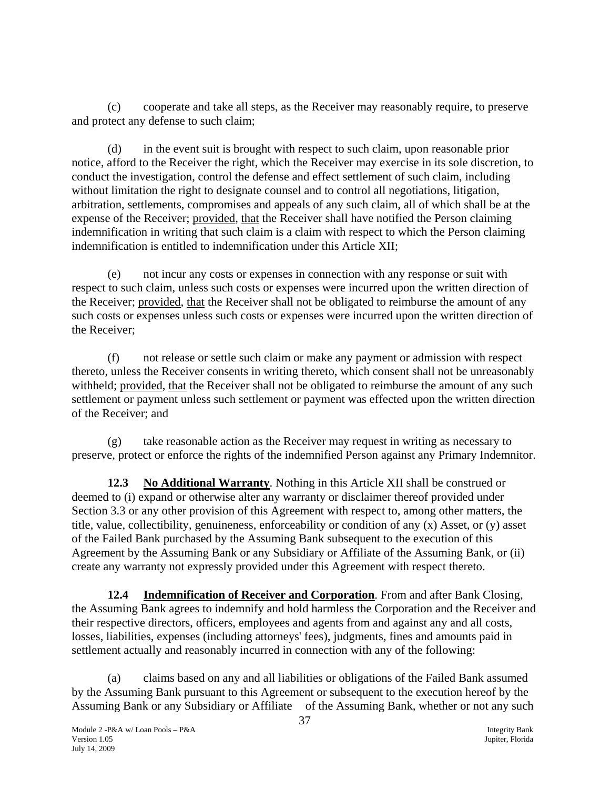<span id="page-40-0"></span>(c) cooperate and take all steps, as the Receiver may reasonably require, to preserve and protect any defense to such claim;

(d) in the event suit is brought with respect to such claim, upon reasonable prior notice, afford to the Receiver the right, which the Receiver may exercise in its sole discretion, to conduct the investigation, control the defense and effect settlement of such claim, including without limitation the right to designate counsel and to control all negotiations, litigation, arbitration, settlements, compromises and appeals of any such claim, all of which shall be at the expense of the Receiver; provided, that the Receiver shall have notified the Person claiming indemnification in writing that such claim is a claim with respect to which the Person claiming indemnification is entitled to indemnification under this Article XII;

(e) not incur any costs or expenses in connection with any response or suit with respect to such claim, unless such costs or expenses were incurred upon the written direction of the Receiver; provided, that the Receiver shall not be obligated to reimburse the amount of any such costs or expenses unless such costs or expenses were incurred upon the written direction of the Receiver;

(f) not release or settle such claim or make any payment or admission with respect thereto, unless the Receiver consents in writing thereto, which consent shall not be unreasonably withheld; provided, that the Receiver shall not be obligated to reimburse the amount of any such settlement or payment unless such settlement or payment was effected upon the written direction of the Receiver; and

(g) take reasonable action as the Receiver may request in writing as necessary to preserve, protect or enforce the rights of the indemnified Person against any Primary Indemnitor.

**12.3 No Additional Warranty**. Nothing in this Article XII shall be construed or deemed to (i) expand or otherwise alter any warranty or disclaimer thereof provided under Section 3.3 or any other provision of this Agreement with respect to, among other matters, the title, value, collectibility, genuineness, enforceability or condition of any (x) Asset, or (y) asset of the Failed Bank purchased by the Assuming Bank subsequent to the execution of this Agreement by the Assuming Bank or any Subsidiary or Affiliate of the Assuming Bank, or (ii) create any warranty not expressly provided under this Agreement with respect thereto.

**12.4 Indemnification of Receiver and Corporation**. From and after Bank Closing, the Assuming Bank agrees to indemnify and hold harmless the Corporation and the Receiver and their respective directors, officers, employees and agents from and against any and all costs, losses, liabilities, expenses (including attorneys' fees), judgments, fines and amounts paid in settlement actually and reasonably incurred in connection with any of the following:

(a) claims based on any and all liabilities or obligations of the Failed Bank assumed by the Assuming Bank pursuant to this Agreement or subsequent to the execution hereof by the Assuming Bank or any Subsidiary or Affiliate of the Assuming Bank, whether or not any such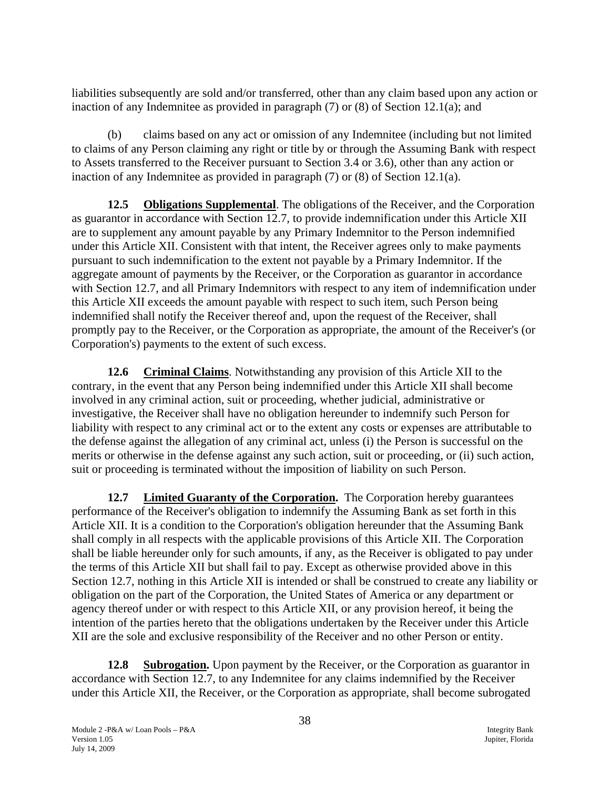<span id="page-41-0"></span>liabilities subsequently are sold and/or transferred, other than any claim based upon any action or inaction of any Indemnitee as provided in paragraph (7) or (8) of Section 12.1(a); and

(b) claims based on any act or omission of any Indemnitee (including but not limited to claims of any Person claiming any right or title by or through the Assuming Bank with respect to Assets transferred to the Receiver pursuant to Section 3.4 or 3.6), other than any action or inaction of any Indemnitee as provided in paragraph (7) or (8) of Section 12.1(a).

**12.5 Obligations Supplemental**. The obligations of the Receiver, and the Corporation as guarantor in accordance with Section 12.7, to provide indemnification under this Article XII are to supplement any amount payable by any Primary Indemnitor to the Person indemnified under this Article XII. Consistent with that intent, the Receiver agrees only to make payments pursuant to such indemnification to the extent not payable by a Primary Indemnitor. If the aggregate amount of payments by the Receiver, or the Corporation as guarantor in accordance with Section 12.7, and all Primary Indemnitors with respect to any item of indemnification under this Article XII exceeds the amount payable with respect to such item, such Person being indemnified shall notify the Receiver thereof and, upon the request of the Receiver, shall promptly pay to the Receiver, or the Corporation as appropriate, the amount of the Receiver's (or Corporation's) payments to the extent of such excess.

**12.6 Criminal Claims**. Notwithstanding any provision of this Article XII to the contrary, in the event that any Person being indemnified under this Article XII shall become involved in any criminal action, suit or proceeding, whether judicial, administrative or investigative, the Receiver shall have no obligation hereunder to indemnify such Person for liability with respect to any criminal act or to the extent any costs or expenses are attributable to the defense against the allegation of any criminal act, unless (i) the Person is successful on the merits or otherwise in the defense against any such action, suit or proceeding, or (ii) such action, suit or proceeding is terminated without the imposition of liability on such Person.

**12.7 Limited Guaranty of the Corporation.** The Corporation hereby guarantees performance of the Receiver's obligation to indemnify the Assuming Bank as set forth in this Article XII. It is a condition to the Corporation's obligation hereunder that the Assuming Bank shall comply in all respects with the applicable provisions of this Article XII. The Corporation shall be liable hereunder only for such amounts, if any, as the Receiver is obligated to pay under the terms of this Article XII but shall fail to pay. Except as otherwise provided above in this Section 12.7, nothing in this Article XII is intended or shall be construed to create any liability or obligation on the part of the Corporation, the United States of America or any department or agency thereof under or with respect to this Article XII, or any provision hereof, it being the intention of the parties hereto that the obligations undertaken by the Receiver under this Article XII are the sole and exclusive responsibility of the Receiver and no other Person or entity.

**12.8 Subrogation.** Upon payment by the Receiver, or the Corporation as guarantor in accordance with Section 12.7, to any Indemnitee for any claims indemnified by the Receiver under this Article XII, the Receiver, or the Corporation as appropriate, shall become subrogated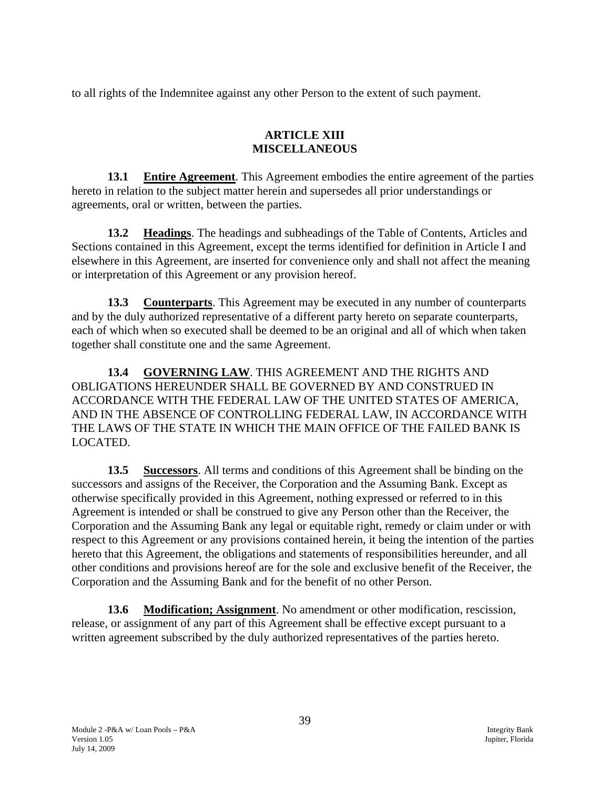<span id="page-42-0"></span>to all rights of the Indemnitee against any other Person to the extent of such payment.

## **ARTICLE XIII MISCELLANEOUS**

**13.1 Entire Agreement**. This Agreement embodies the entire agreement of the parties hereto in relation to the subject matter herein and supersedes all prior understandings or agreements, oral or written, between the parties.

**13.2 Headings**. The headings and subheadings of the Table of Contents, Articles and Sections contained in this Agreement, except the terms identified for definition in Article I and elsewhere in this Agreement, are inserted for convenience only and shall not affect the meaning or interpretation of this Agreement or any provision hereof.

**13.3** Counterparts. This Agreement may be executed in any number of counterparts and by the duly authorized representative of a different party hereto on separate counterparts, each of which when so executed shall be deemed to be an original and all of which when taken together shall constitute one and the same Agreement.

**13.4 GOVERNING LAW**. THIS AGREEMENT AND THE RIGHTS AND OBLIGATIONS HEREUNDER SHALL BE GOVERNED BY AND CONSTRUED IN ACCORDANCE WITH THE FEDERAL LAW OF THE UNITED STATES OF AMERICA, AND IN THE ABSENCE OF CONTROLLING FEDERAL LAW, IN ACCORDANCE WITH THE LAWS OF THE STATE IN WHICH THE MAIN OFFICE OF THE FAILED BANK IS LOCATED.

**13.5 Successors**. All terms and conditions of this Agreement shall be binding on the successors and assigns of the Receiver, the Corporation and the Assuming Bank. Except as otherwise specifically provided in this Agreement, nothing expressed or referred to in this Agreement is intended or shall be construed to give any Person other than the Receiver, the Corporation and the Assuming Bank any legal or equitable right, remedy or claim under or with respect to this Agreement or any provisions contained herein, it being the intention of the parties hereto that this Agreement, the obligations and statements of responsibilities hereunder, and all other conditions and provisions hereof are for the sole and exclusive benefit of the Receiver, the Corporation and the Assuming Bank and for the benefit of no other Person.

**13.6 Modification; Assignment**. No amendment or other modification, rescission, release, or assignment of any part of this Agreement shall be effective except pursuant to a written agreement subscribed by the duly authorized representatives of the parties hereto.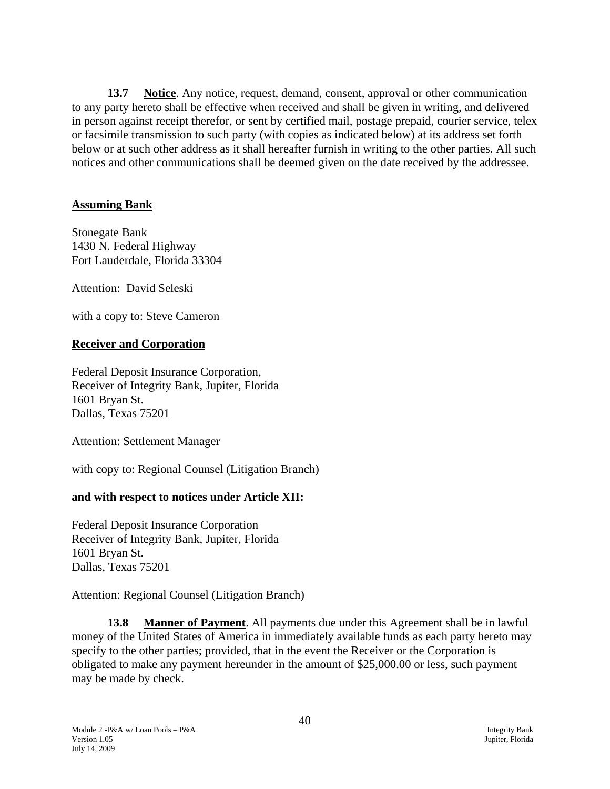<span id="page-43-0"></span>**13.7** Notice. Any notice, request, demand, consent, approval or other communication to any party hereto shall be effective when received and shall be given in writing, and delivered in person against receipt therefor, or sent by certified mail, postage prepaid, courier service, telex or facsimile transmission to such party (with copies as indicated below) at its address set forth below or at such other address as it shall hereafter furnish in writing to the other parties. All such notices and other communications shall be deemed given on the date received by the addressee.

### **Assuming Bank**

Stonegate Bank 1430 N. Federal Highway Fort Lauderdale, Florida 33304

Attention: David Seleski

with a copy to: Steve Cameron

## **Receiver and Corporation**

Federal Deposit Insurance Corporation, Receiver of Integrity Bank, Jupiter, Florida 1601 Bryan St. Dallas, Texas 75201

Attention: Settlement Manager

with copy to: Regional Counsel (Litigation Branch)

## **and with respect to notices under Article XII:**

Federal Deposit Insurance Corporation Receiver of Integrity Bank, Jupiter, Florida 1601 Bryan St. Dallas, Texas 75201

Attention: Regional Counsel (Litigation Branch)

**13.8 Manner of Payment**. All payments due under this Agreement shall be in lawful money of the United States of America in immediately available funds as each party hereto may specify to the other parties; provided, that in the event the Receiver or the Corporation is obligated to make any payment hereunder in the amount of \$25,000.00 or less, such payment may be made by check.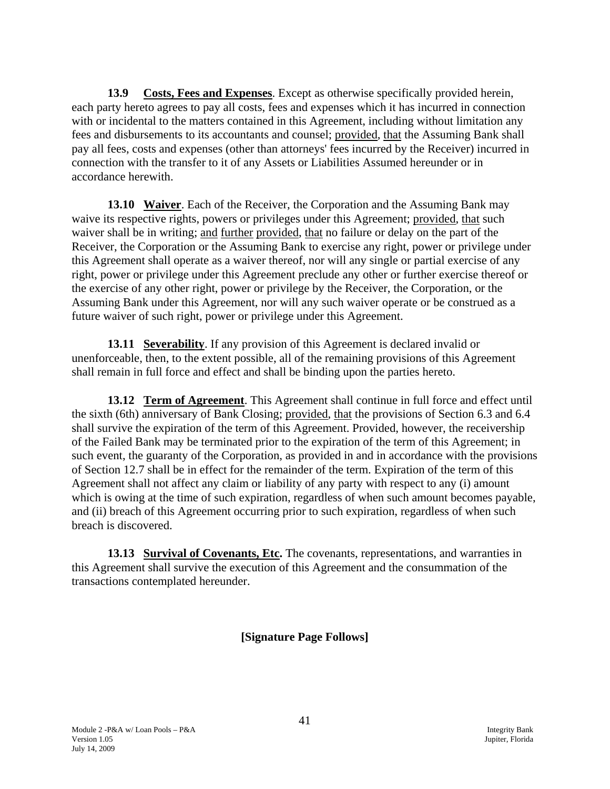<span id="page-44-0"></span>**13.9 Costs, Fees and Expenses**. Except as otherwise specifically provided herein, each party hereto agrees to pay all costs, fees and expenses which it has incurred in connection with or incidental to the matters contained in this Agreement, including without limitation any fees and disbursements to its accountants and counsel; provided, that the Assuming Bank shall pay all fees, costs and expenses (other than attorneys' fees incurred by the Receiver) incurred in connection with the transfer to it of any Assets or Liabilities Assumed hereunder or in accordance herewith.

**13.10 Waiver**. Each of the Receiver, the Corporation and the Assuming Bank may waive its respective rights, powers or privileges under this Agreement; provided, that such waiver shall be in writing; and further provided, that no failure or delay on the part of the Receiver, the Corporation or the Assuming Bank to exercise any right, power or privilege under this Agreement shall operate as a waiver thereof, nor will any single or partial exercise of any right, power or privilege under this Agreement preclude any other or further exercise thereof or the exercise of any other right, power or privilege by the Receiver, the Corporation, or the Assuming Bank under this Agreement, nor will any such waiver operate or be construed as a future waiver of such right, power or privilege under this Agreement.

**13.11 Severability**. If any provision of this Agreement is declared invalid or unenforceable, then, to the extent possible, all of the remaining provisions of this Agreement shall remain in full force and effect and shall be binding upon the parties hereto.

**13.12 Term of Agreement**. This Agreement shall continue in full force and effect until the sixth (6th) anniversary of Bank Closing; provided, that the provisions of Section 6.3 and 6.4 shall survive the expiration of the term of this Agreement. Provided, however, the receivership of the Failed Bank may be terminated prior to the expiration of the term of this Agreement; in such event, the guaranty of the Corporation, as provided in and in accordance with the provisions of Section 12.7 shall be in effect for the remainder of the term. Expiration of the term of this Agreement shall not affect any claim or liability of any party with respect to any (i) amount which is owing at the time of such expiration, regardless of when such amount becomes payable, and (ii) breach of this Agreement occurring prior to such expiration, regardless of when such breach is discovered.

**13.13 Survival of Covenants, Etc.** The covenants, representations, and warranties in this Agreement shall survive the execution of this Agreement and the consummation of the transactions contemplated hereunder.

### **[Signature Page Follows]**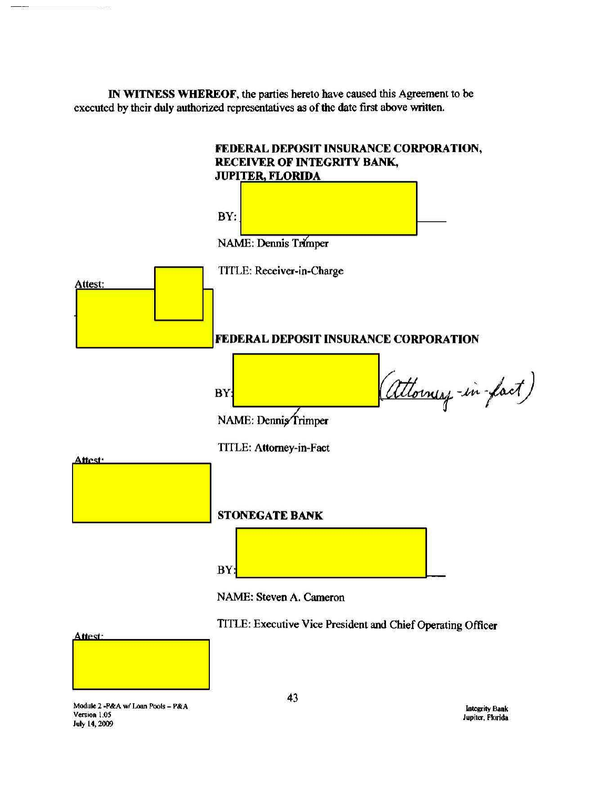IN WITNESS WHEREOF, the parties hereto have caused this Agreement to be executed by their duly authorized representatives as of the date first above written.



Module 2 - P&A w/ Loan Pools - P&A Version 1.05 July 14, 2009

**Integrity Bank** Jupiter, Florida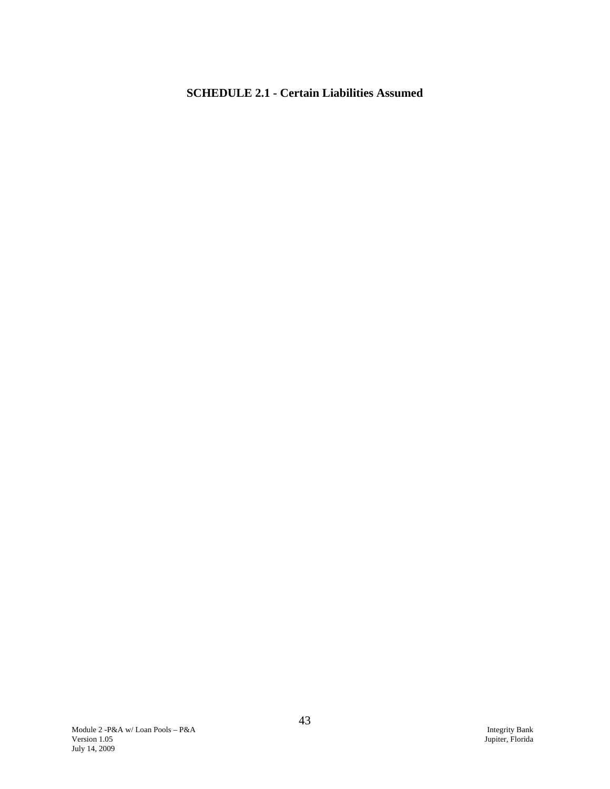### <span id="page-46-0"></span>**SCHEDULE 2.1 - Certain Liabilities Assumed**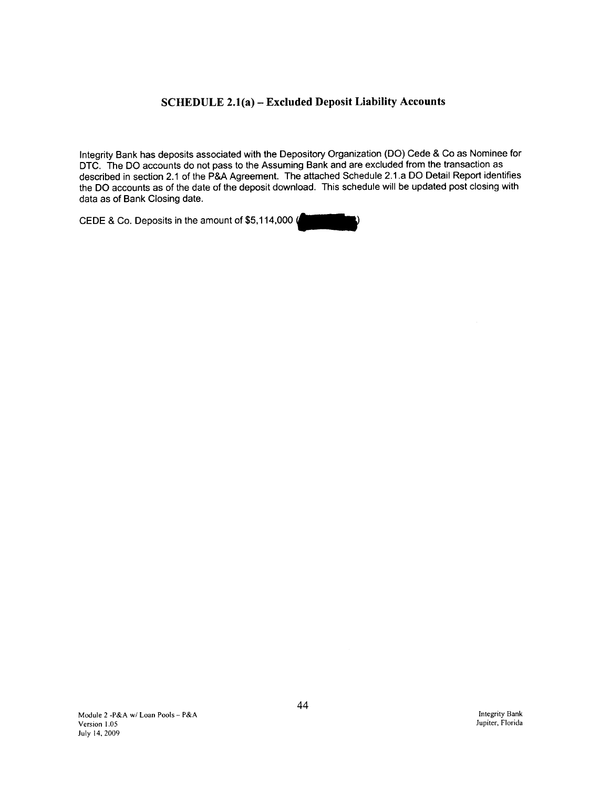#### SCHEDULE 2.1(a) - Excluded Deposit Liabilty Accounts

Integrity Bank has deposits associated with the Depository Organization (DO) Cede & Co as Nominee for DTC. The DO accounts do not pass to the Assuming Bank and are excluded from the transaction as described in section 2.1 of the P&A Agreement. The attached Schedule 2.1.a DO Detail Report identifies the DO accounts as of the date of the deposit download. This schedule will be updated post closing with data as of Bank Closing date.

CEDE & Co. Deposits in the amount of \$5,114,000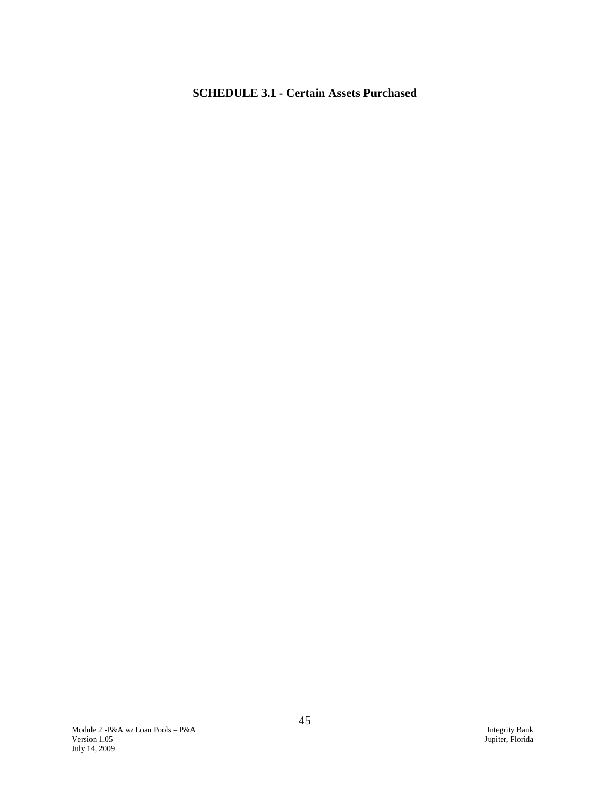## <span id="page-48-0"></span>**SCHEDULE 3.1 - Certain Assets Purchased**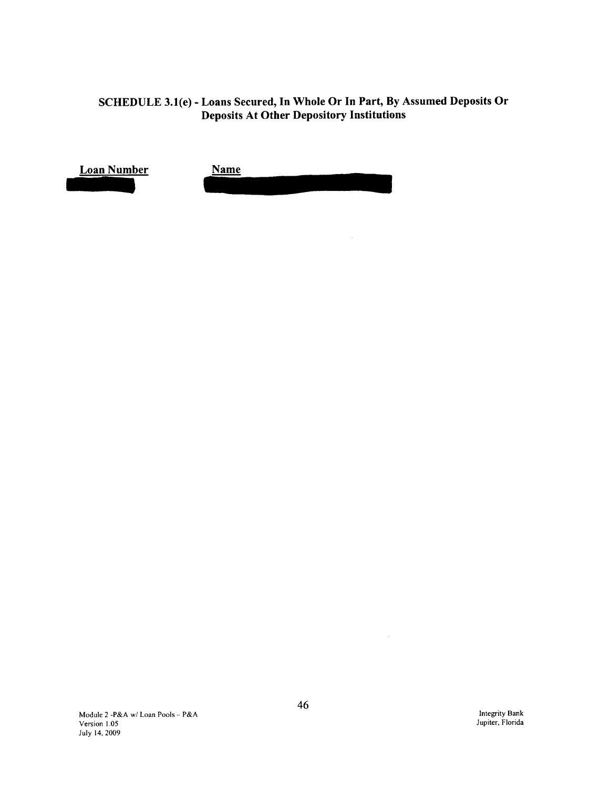### SCHEDULE 3.1(e) - Loans Secured, In Whole Or In Part, By Assumed Deposits Or Deposits At Other Depository Institutions



**Name** 

 $\hat{\boldsymbol{\epsilon}}$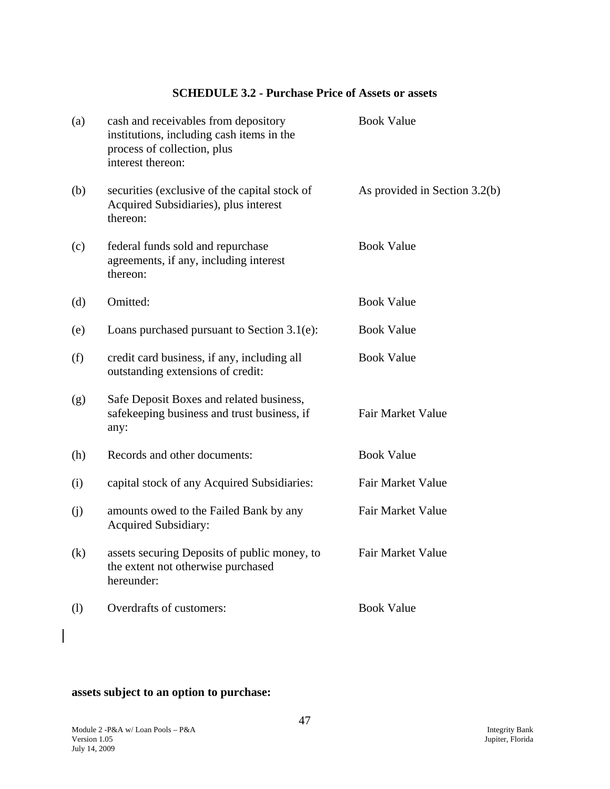### **SCHEDULE 3.2 - Purchase Price of Assets or assets**

<span id="page-50-0"></span>

| (a) | cash and receivables from depository<br>institutions, including cash items in the<br>process of collection, plus<br>interest thereon: | <b>Book Value</b>             |
|-----|---------------------------------------------------------------------------------------------------------------------------------------|-------------------------------|
| (b) | securities (exclusive of the capital stock of<br>Acquired Subsidiaries), plus interest<br>thereon:                                    | As provided in Section 3.2(b) |
| (c) | federal funds sold and repurchase<br>agreements, if any, including interest<br>thereon:                                               | <b>Book Value</b>             |
| (d) | Omitted:                                                                                                                              | <b>Book Value</b>             |
| (e) | Loans purchased pursuant to Section $3.1(e)$ :                                                                                        | <b>Book Value</b>             |
| (f) | credit card business, if any, including all<br>outstanding extensions of credit:                                                      | <b>Book Value</b>             |
| (g) | Safe Deposit Boxes and related business,<br>safekeeping business and trust business, if<br>any:                                       | Fair Market Value             |
| (h) | Records and other documents:                                                                                                          | <b>Book Value</b>             |
| (i) | capital stock of any Acquired Subsidiaries:                                                                                           | Fair Market Value             |
| (j) | amounts owed to the Failed Bank by any<br><b>Acquired Subsidiary:</b>                                                                 | Fair Market Value             |
| (k) | assets securing Deposits of public money, to<br>the extent not otherwise purchased<br>hereunder:                                      | Fair Market Value             |
| (1) | Overdrafts of customers:                                                                                                              | <b>Book Value</b>             |

# **assets subject to an option to purchase:**

 $\overline{\phantom{a}}$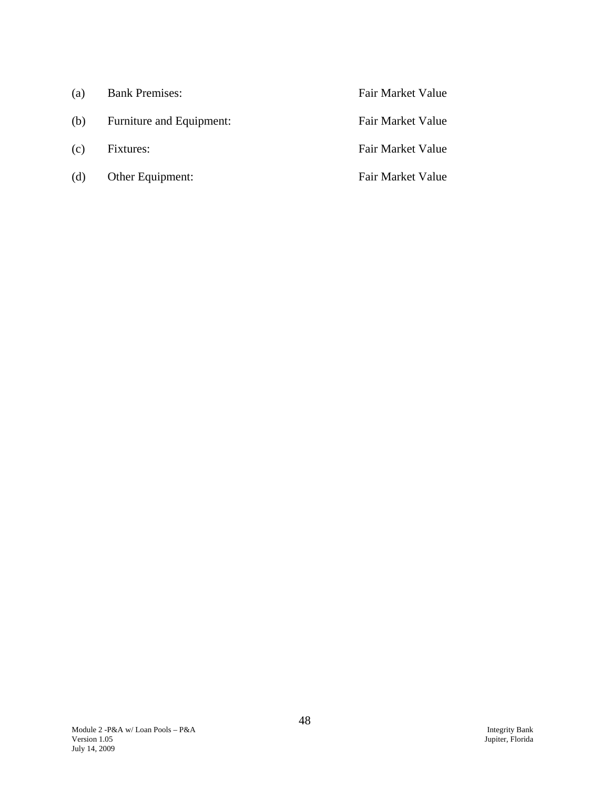| (a) | <b>Bank Premises:</b>    | <b>Fair Market Value</b> |
|-----|--------------------------|--------------------------|
| (b) | Furniture and Equipment: | Fair Market Value        |
| (c) | Fixtures:                | <b>Fair Market Value</b> |
| (d) | Other Equipment:         | Fair Market Value        |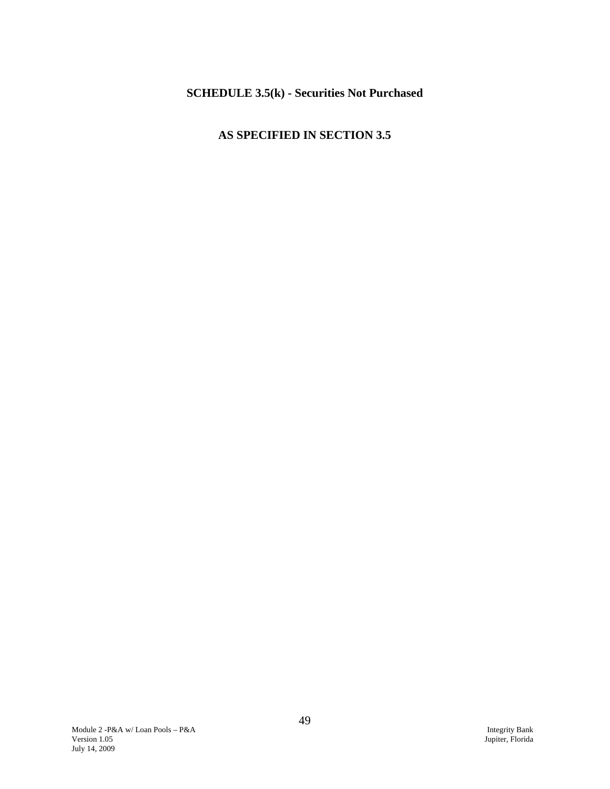## <span id="page-52-0"></span>**SCHEDULE 3.5(k) - Securities Not Purchased**

## **AS SPECIFIED IN SECTION 3.5**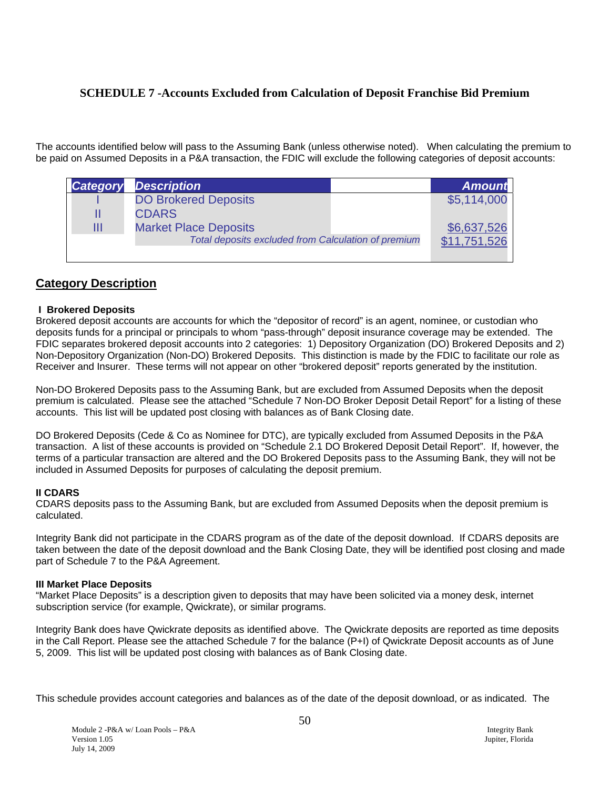## **SCHEDULE 7 -Accounts Excluded from Calculation of Deposit Franchise Bid Premium**

The accounts identified below will pass to the Assuming Bank (unless otherwise noted). When calculating the premium to be paid on Assumed Deposits in a P&A transaction, the FDIC will exclude the following categories of deposit accounts:

| <b>Category</b> | <b>Description</b>                                  | <b>Amount</b> |
|-----------------|-----------------------------------------------------|---------------|
|                 | <b>DO Brokered Deposits</b>                         | \$5,114,000   |
|                 | <b>CDARS</b>                                        |               |
| Ш               | <b>Market Place Deposits</b>                        | \$6,637,526   |
|                 | Total deposits excluded from Calculation of premium | 1.751.526     |
|                 |                                                     |               |

### **Category Description**

#### **I Brokered Deposits**

Brokered deposit accounts are accounts for which the "depositor of record" is an agent, nominee, or custodian who deposits funds for a principal or principals to whom "pass-through" deposit insurance coverage may be extended. The FDIC separates brokered deposit accounts into 2 categories: 1) Depository Organization (DO) Brokered Deposits and 2) Non-Depository Organization (Non-DO) Brokered Deposits. This distinction is made by the FDIC to facilitate our role as Receiver and Insurer. These terms will not appear on other "brokered deposit" reports generated by the institution.

Non-DO Brokered Deposits pass to the Assuming Bank, but are excluded from Assumed Deposits when the deposit premium is calculated. Please see the attached "Schedule 7 Non-DO Broker Deposit Detail Report" for a listing of these accounts. This list will be updated post closing with balances as of Bank Closing date.

DO Brokered Deposits (Cede & Co as Nominee for DTC), are typically excluded from Assumed Deposits in the P&A transaction. A list of these accounts is provided on "Schedule 2.1 DO Brokered Deposit Detail Report". If, however, the terms of a particular transaction are altered and the DO Brokered Deposits pass to the Assuming Bank, they will not be included in Assumed Deposits for purposes of calculating the deposit premium.

#### **II CDARS**

CDARS deposits pass to the Assuming Bank, but are excluded from Assumed Deposits when the deposit premium is calculated.

Integrity Bank did not participate in the CDARS program as of the date of the deposit download. If CDARS deposits are taken between the date of the deposit download and the Bank Closing Date, they will be identified post closing and made part of Schedule 7 to the P&A Agreement.

#### **III Market Place Deposits**

"Market Place Deposits" is a description given to deposits that may have been solicited via a money desk, internet subscription service (for example, Qwickrate), or similar programs.

Integrity Bank does have Qwickrate deposits as identified above. The Qwickrate deposits are reported as time deposits in the Call Report. Please see the attached Schedule 7 for the balance (P+I) of Qwickrate Deposit accounts as of June 5, 2009. This list will be updated post closing with balances as of Bank Closing date.

This schedule provides account categories and balances as of the date of the deposit download, or as indicated. The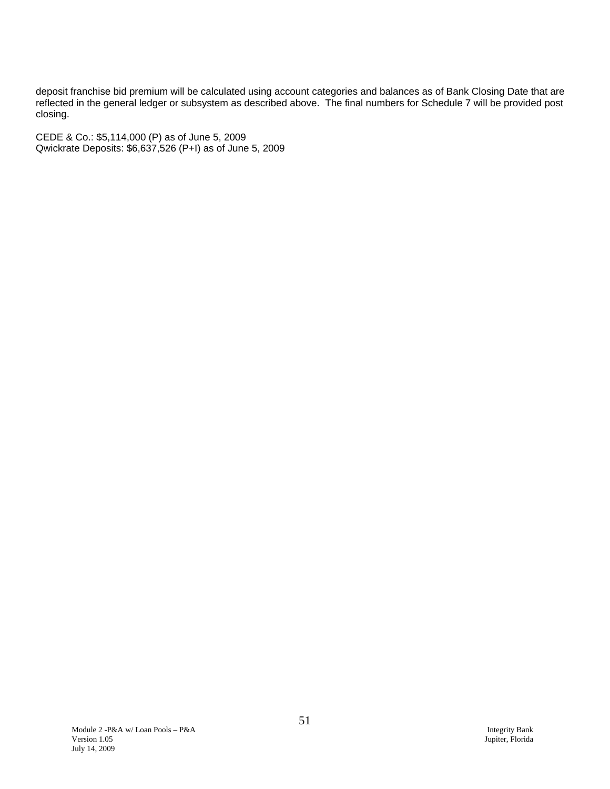deposit franchise bid premium will be calculated using account categories and balances as of Bank Closing Date that are reflected in the general ledger or subsystem as described above. The final numbers for Schedule 7 will be provided post closing.

CEDE & Co.: \$5,114,000 (P) as of June 5, 2009 Qwickrate Deposits: \$6,637,526 (P+I) as of June 5, 2009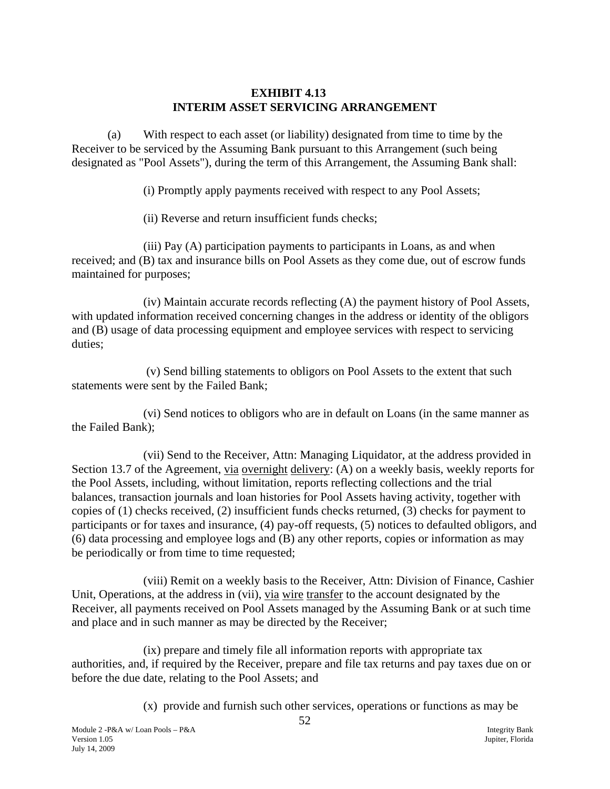### **EXHIBIT 4.13 INTERIM ASSET SERVICING ARRANGEMENT**

<span id="page-55-0"></span>(a) With respect to each asset (or liability) designated from time to time by the Receiver to be serviced by the Assuming Bank pursuant to this Arrangement (such being designated as "Pool Assets"), during the term of this Arrangement, the Assuming Bank shall:

(i) Promptly apply payments received with respect to any Pool Assets;

(ii) Reverse and return insufficient funds checks;

(iii) Pay (A) participation payments to participants in Loans, as and when received; and (B) tax and insurance bills on Pool Assets as they come due, out of escrow funds maintained for purposes;

(iv) Maintain accurate records reflecting (A) the payment history of Pool Assets, with updated information received concerning changes in the address or identity of the obligors and (B) usage of data processing equipment and employee services with respect to servicing duties;

(v) Send billing statements to obligors on Pool Assets to the extent that such statements were sent by the Failed Bank;

(vi) Send notices to obligors who are in default on Loans (in the same manner as the Failed Bank);

(vii) Send to the Receiver, Attn: Managing Liquidator, at the address provided in Section 13.7 of the Agreement, via overnight delivery: (A) on a weekly basis, weekly reports for the Pool Assets, including, without limitation, reports reflecting collections and the trial balances, transaction journals and loan histories for Pool Assets having activity, together with copies of (1) checks received, (2) insufficient funds checks returned, (3) checks for payment to participants or for taxes and insurance, (4) pay-off requests, (5) notices to defaulted obligors, and (6) data processing and employee logs and (B) any other reports, copies or information as may be periodically or from time to time requested;

(viii) Remit on a weekly basis to the Receiver, Attn: Division of Finance, Cashier Unit, Operations, at the address in (vii), via wire transfer to the account designated by the Receiver, all payments received on Pool Assets managed by the Assuming Bank or at such time and place and in such manner as may be directed by the Receiver;

(ix) prepare and timely file all information reports with appropriate tax authorities, and, if required by the Receiver, prepare and file tax returns and pay taxes due on or before the due date, relating to the Pool Assets; and

(x) provide and furnish such other services, operations or functions as may be